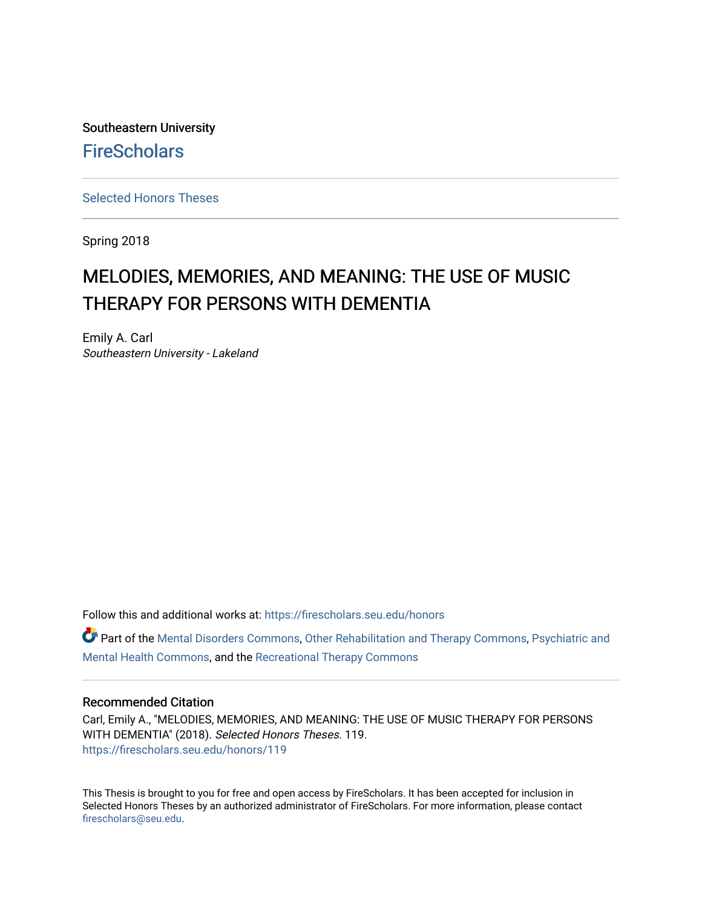Southeastern University **FireScholars** 

[Selected Honors Theses](https://firescholars.seu.edu/honors)

Spring 2018

# MELODIES, MEMORIES, AND MEANING: THE USE OF MUSIC THERAPY FOR PERSONS WITH DEMENTIA

Emily A. Carl Southeastern University - Lakeland

Follow this and additional works at: [https://firescholars.seu.edu/honors](https://firescholars.seu.edu/honors?utm_source=firescholars.seu.edu%2Fhonors%2F119&utm_medium=PDF&utm_campaign=PDFCoverPages)

Part of the [Mental Disorders Commons,](http://network.bepress.com/hgg/discipline/968?utm_source=firescholars.seu.edu%2Fhonors%2F119&utm_medium=PDF&utm_campaign=PDFCoverPages) [Other Rehabilitation and Therapy Commons,](http://network.bepress.com/hgg/discipline/758?utm_source=firescholars.seu.edu%2Fhonors%2F119&utm_medium=PDF&utm_campaign=PDFCoverPages) [Psychiatric and](http://network.bepress.com/hgg/discipline/711?utm_source=firescholars.seu.edu%2Fhonors%2F119&utm_medium=PDF&utm_campaign=PDFCoverPages) [Mental Health Commons,](http://network.bepress.com/hgg/discipline/711?utm_source=firescholars.seu.edu%2Fhonors%2F119&utm_medium=PDF&utm_campaign=PDFCoverPages) and the [Recreational Therapy Commons](http://network.bepress.com/hgg/discipline/755?utm_source=firescholars.seu.edu%2Fhonors%2F119&utm_medium=PDF&utm_campaign=PDFCoverPages)

# Recommended Citation

Carl, Emily A., "MELODIES, MEMORIES, AND MEANING: THE USE OF MUSIC THERAPY FOR PERSONS WITH DEMENTIA" (2018). Selected Honors Theses. 119. [https://firescholars.seu.edu/honors/119](https://firescholars.seu.edu/honors/119?utm_source=firescholars.seu.edu%2Fhonors%2F119&utm_medium=PDF&utm_campaign=PDFCoverPages)

This Thesis is brought to you for free and open access by FireScholars. It has been accepted for inclusion in Selected Honors Theses by an authorized administrator of FireScholars. For more information, please contact [firescholars@seu.edu.](mailto:firescholars@seu.edu)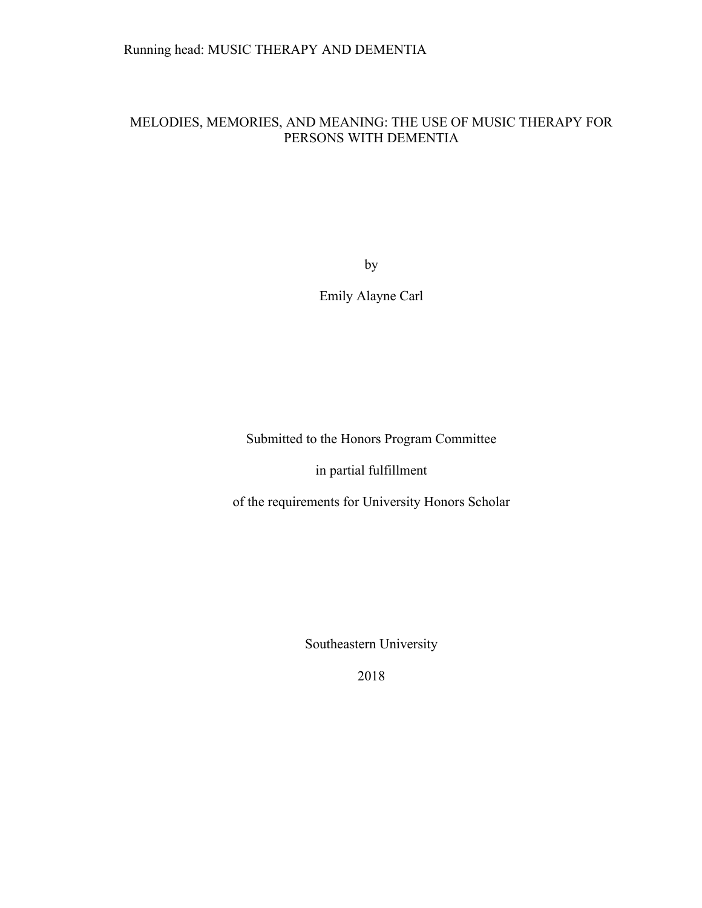# MELODIES, MEMORIES, AND MEANING: THE USE OF MUSIC THERAPY FOR PERSONS WITH DEMENTIA

by

Emily Alayne Carl

Submitted to the Honors Program Committee

in partial fulfillment

of the requirements for University Honors Scholar

Southeastern University

2018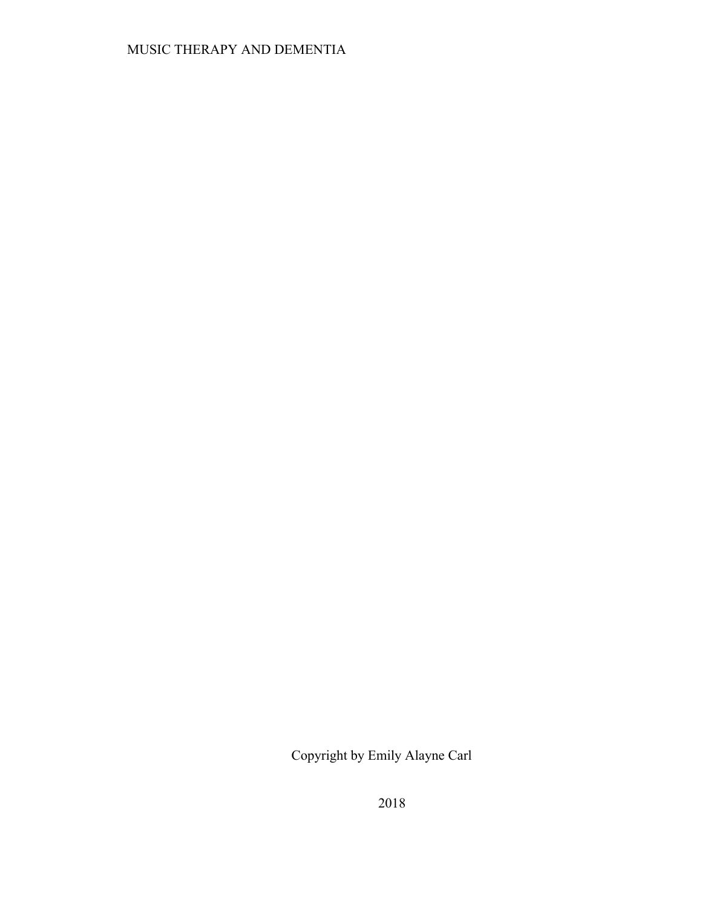# MUSIC THERAPY AND DEMENTIA

Copyright by Emily Alayne Carl

2018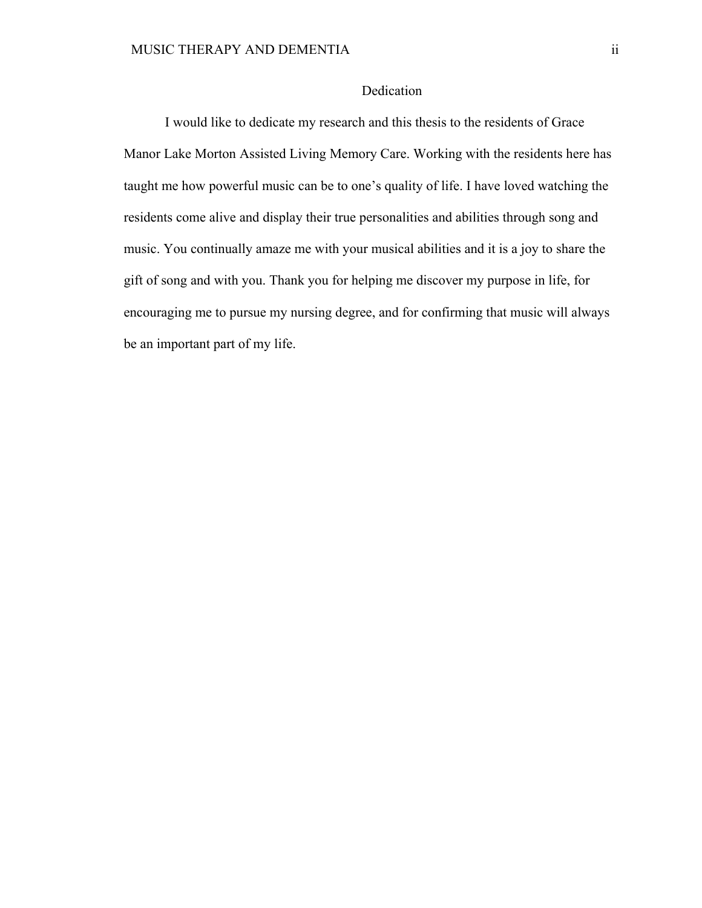# Dedication

I would like to dedicate my research and this thesis to the residents of Grace Manor Lake Morton Assisted Living Memory Care. Working with the residents here has taught me how powerful music can be to one's quality of life. I have loved watching the residents come alive and display their true personalities and abilities through song and music. You continually amaze me with your musical abilities and it is a joy to share the gift of song and with you. Thank you for helping me discover my purpose in life, for encouraging me to pursue my nursing degree, and for confirming that music will always be an important part of my life.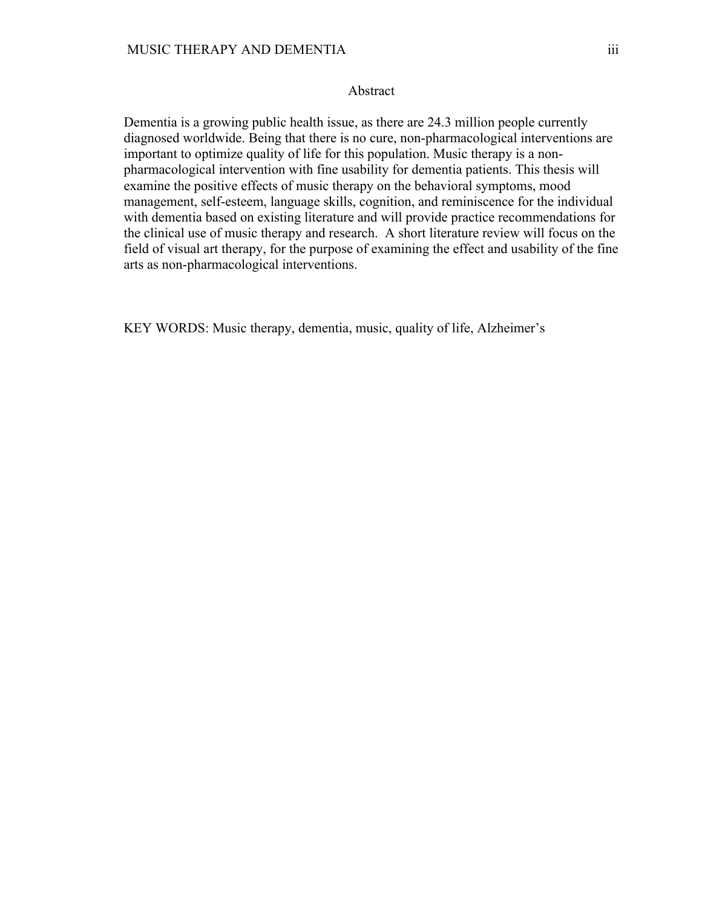# Abstract

Dementia is a growing public health issue, as there are 24.3 million people currently diagnosed worldwide. Being that there is no cure, non-pharmacological interventions are important to optimize quality of life for this population. Music therapy is a nonpharmacological intervention with fine usability for dementia patients. This thesis will examine the positive effects of music therapy on the behavioral symptoms, mood management, self-esteem, language skills, cognition, and reminiscence for the individual with dementia based on existing literature and will provide practice recommendations for the clinical use of music therapy and research. A short literature review will focus on the field of visual art therapy, for the purpose of examining the effect and usability of the fine arts as non-pharmacological interventions.

KEY WORDS: Music therapy, dementia, music, quality of life, Alzheimer's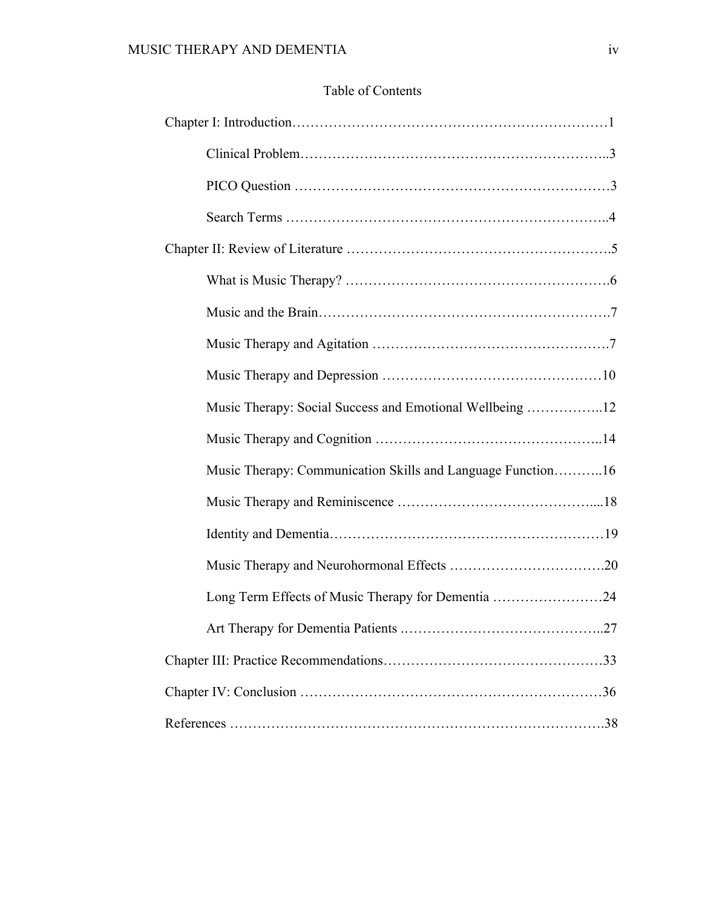# Table of Contents

| Music Therapy: Social Success and Emotional Wellbeing 12    |  |
|-------------------------------------------------------------|--|
|                                                             |  |
| Music Therapy: Communication Skills and Language Function16 |  |
|                                                             |  |
|                                                             |  |
|                                                             |  |
| Long Term Effects of Music Therapy for Dementia 24          |  |
|                                                             |  |
|                                                             |  |
|                                                             |  |
|                                                             |  |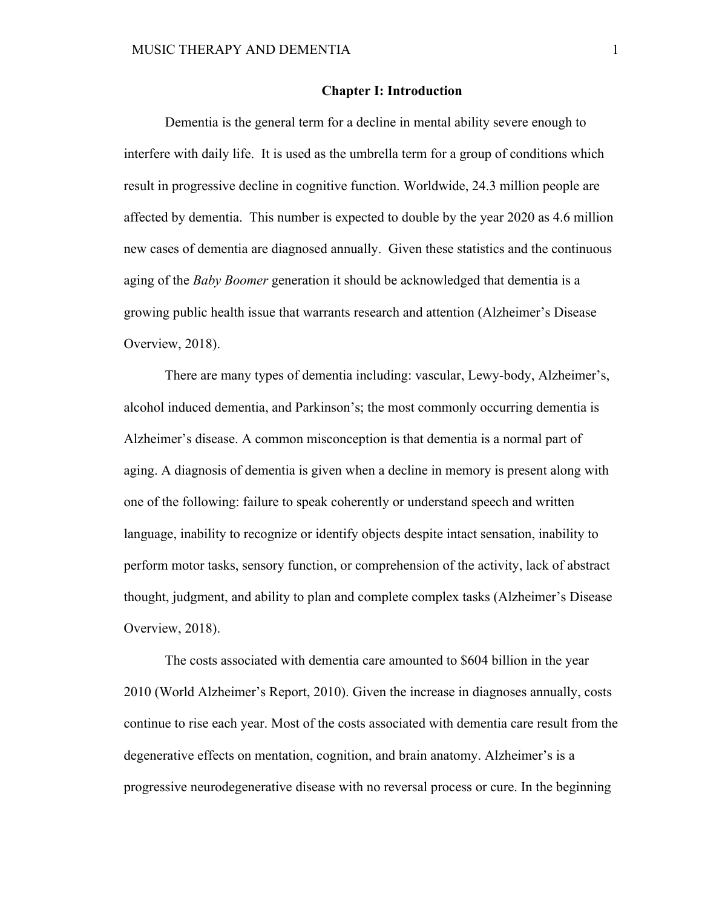### **Chapter I: Introduction**

Dementia is the general term for a decline in mental ability severe enough to interfere with daily life. It is used as the umbrella term for a group of conditions which result in progressive decline in cognitive function. Worldwide, 24.3 million people are affected by dementia. This number is expected to double by the year 2020 as 4.6 million new cases of dementia are diagnosed annually. Given these statistics and the continuous aging of the *Baby Boomer* generation it should be acknowledged that dementia is a growing public health issue that warrants research and attention (Alzheimer's Disease Overview, 2018).

There are many types of dementia including: vascular, Lewy-body, Alzheimer's, alcohol induced dementia, and Parkinson's; the most commonly occurring dementia is Alzheimer's disease. A common misconception is that dementia is a normal part of aging. A diagnosis of dementia is given when a decline in memory is present along with one of the following: failure to speak coherently or understand speech and written language, inability to recognize or identify objects despite intact sensation, inability to perform motor tasks, sensory function, or comprehension of the activity, lack of abstract thought, judgment, and ability to plan and complete complex tasks (Alzheimer's Disease Overview, 2018).

The costs associated with dementia care amounted to \$604 billion in the year 2010 (World Alzheimer's Report, 2010). Given the increase in diagnoses annually, costs continue to rise each year. Most of the costs associated with dementia care result from the degenerative effects on mentation, cognition, and brain anatomy. Alzheimer's is a progressive neurodegenerative disease with no reversal process or cure. In the beginning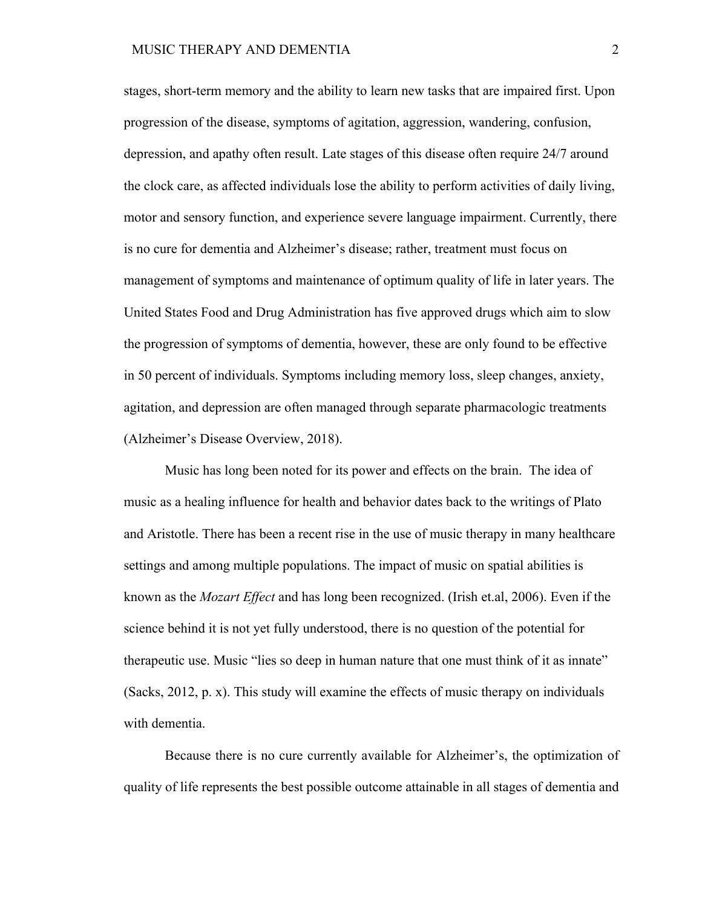stages, short-term memory and the ability to learn new tasks that are impaired first. Upon progression of the disease, symptoms of agitation, aggression, wandering, confusion, depression, and apathy often result. Late stages of this disease often require 24/7 around the clock care, as affected individuals lose the ability to perform activities of daily living, motor and sensory function, and experience severe language impairment. Currently, there is no cure for dementia and Alzheimer's disease; rather, treatment must focus on management of symptoms and maintenance of optimum quality of life in later years. The United States Food and Drug Administration has five approved drugs which aim to slow the progression of symptoms of dementia, however, these are only found to be effective in 50 percent of individuals. Symptoms including memory loss, sleep changes, anxiety, agitation, and depression are often managed through separate pharmacologic treatments (Alzheimer's Disease Overview, 2018).

Music has long been noted for its power and effects on the brain. The idea of music as a healing influence for health and behavior dates back to the writings of Plato and Aristotle. There has been a recent rise in the use of music therapy in many healthcare settings and among multiple populations. The impact of music on spatial abilities is known as the *Mozart Effect* and has long been recognized. (Irish et.al, 2006). Even if the science behind it is not yet fully understood, there is no question of the potential for therapeutic use. Music "lies so deep in human nature that one must think of it as innate" (Sacks, 2012, p. x). This study will examine the effects of music therapy on individuals with dementia.

Because there is no cure currently available for Alzheimer's, the optimization of quality of life represents the best possible outcome attainable in all stages of dementia and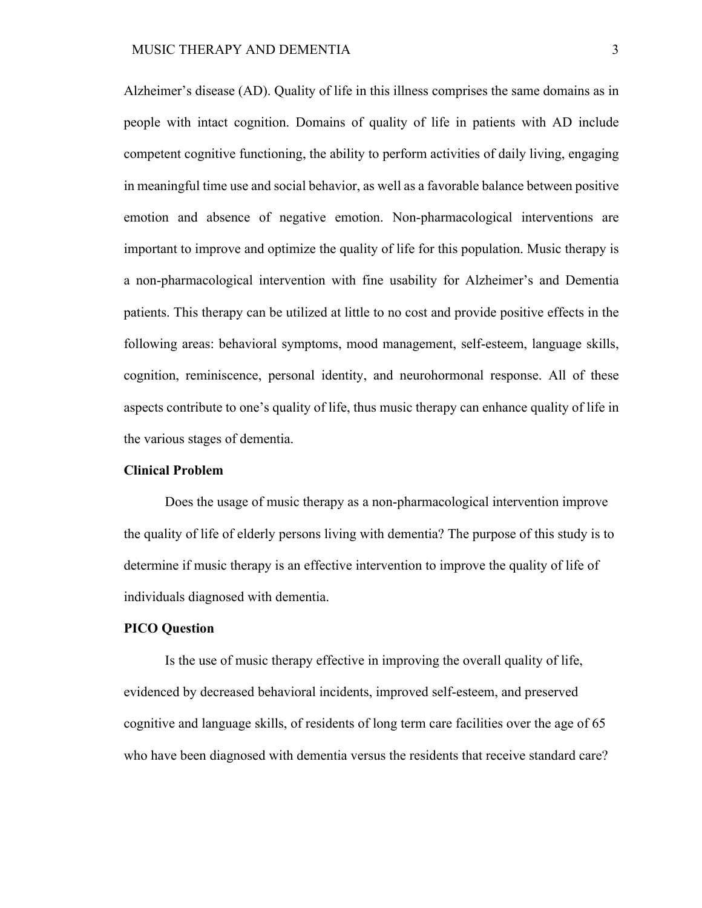Alzheimer's disease (AD). Quality of life in this illness comprises the same domains as in people with intact cognition. Domains of quality of life in patients with AD include competent cognitive functioning, the ability to perform activities of daily living, engaging in meaningful time use and social behavior, as well as a favorable balance between positive emotion and absence of negative emotion. Non-pharmacological interventions are important to improve and optimize the quality of life for this population. Music therapy is a non-pharmacological intervention with fine usability for Alzheimer's and Dementia patients. This therapy can be utilized at little to no cost and provide positive effects in the following areas: behavioral symptoms, mood management, self-esteem, language skills, cognition, reminiscence, personal identity, and neurohormonal response. All of these aspects contribute to one's quality of life, thus music therapy can enhance quality of life in the various stages of dementia.

# **Clinical Problem**

Does the usage of music therapy as a non-pharmacological intervention improve the quality of life of elderly persons living with dementia? The purpose of this study is to determine if music therapy is an effective intervention to improve the quality of life of individuals diagnosed with dementia.

#### **PICO Question**

Is the use of music therapy effective in improving the overall quality of life, evidenced by decreased behavioral incidents, improved self-esteem, and preserved cognitive and language skills, of residents of long term care facilities over the age of 65 who have been diagnosed with dementia versus the residents that receive standard care?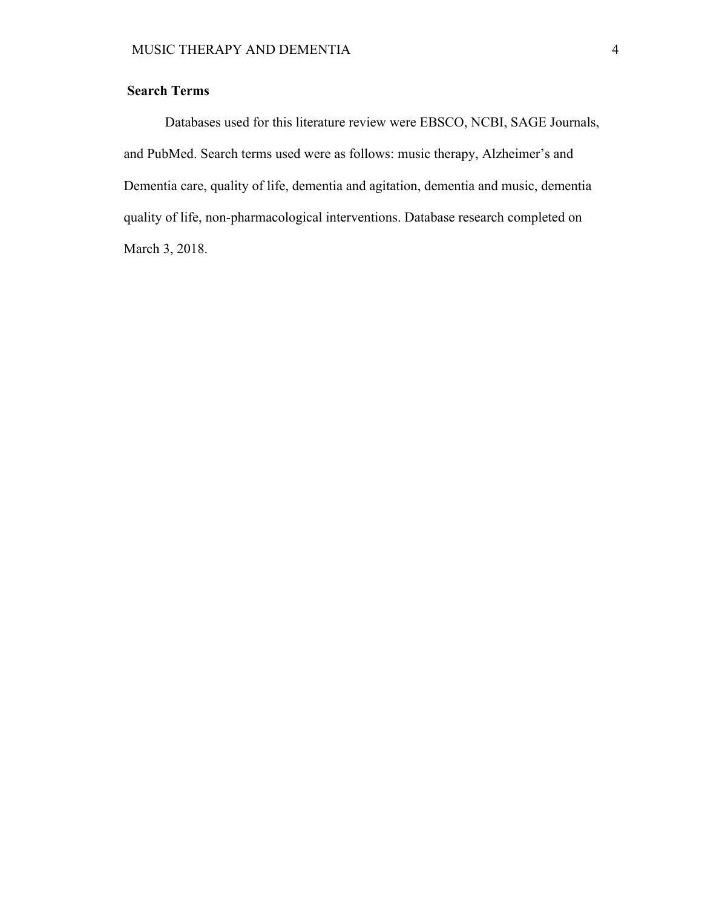# **Search Terms**

Databases used for this literature review were EBSCO, NCBI, SAGE Journals, and PubMed. Search terms used were as follows: music therapy, Alzheimer's and Dementia care, quality of life, dementia and agitation, dementia and music, dementia quality of life, non-pharmacological interventions. Database research completed on March 3, 2018.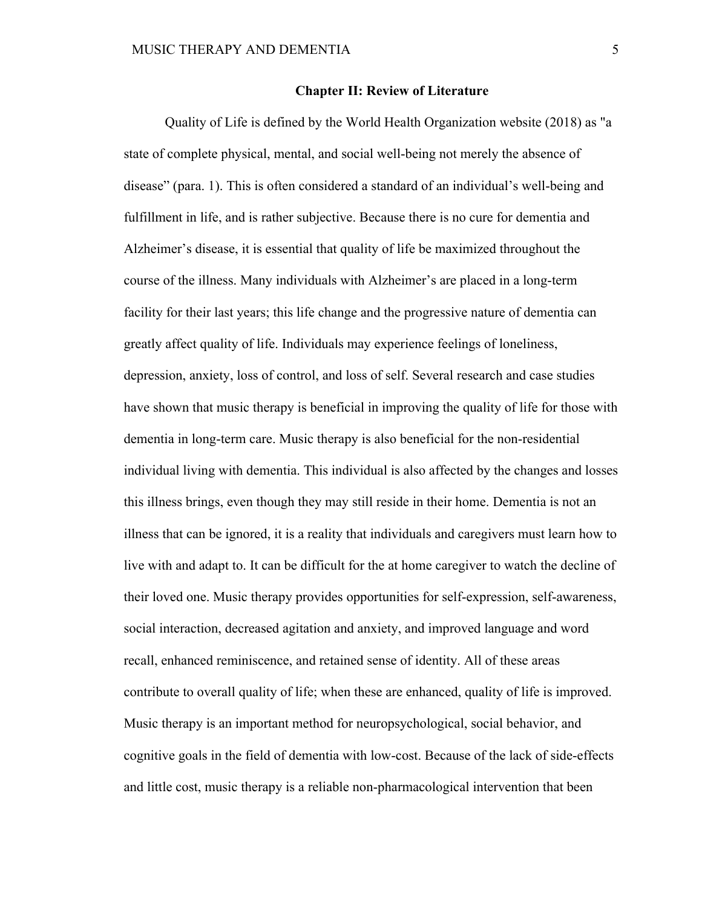### **Chapter II: Review of Literature**

Quality of Life is defined by the World Health Organization website (2018) as "a state of complete physical, mental, and social well-being not merely the absence of disease" (para. 1). This is often considered a standard of an individual's well-being and fulfillment in life, and is rather subjective. Because there is no cure for dementia and Alzheimer's disease, it is essential that quality of life be maximized throughout the course of the illness. Many individuals with Alzheimer's are placed in a long-term facility for their last years; this life change and the progressive nature of dementia can greatly affect quality of life. Individuals may experience feelings of loneliness, depression, anxiety, loss of control, and loss of self. Several research and case studies have shown that music therapy is beneficial in improving the quality of life for those with dementia in long-term care. Music therapy is also beneficial for the non-residential individual living with dementia. This individual is also affected by the changes and losses this illness brings, even though they may still reside in their home. Dementia is not an illness that can be ignored, it is a reality that individuals and caregivers must learn how to live with and adapt to. It can be difficult for the at home caregiver to watch the decline of their loved one. Music therapy provides opportunities for self-expression, self-awareness, social interaction, decreased agitation and anxiety, and improved language and word recall, enhanced reminiscence, and retained sense of identity. All of these areas contribute to overall quality of life; when these are enhanced, quality of life is improved. Music therapy is an important method for neuropsychological, social behavior, and cognitive goals in the field of dementia with low-cost. Because of the lack of side-effects and little cost, music therapy is a reliable non-pharmacological intervention that been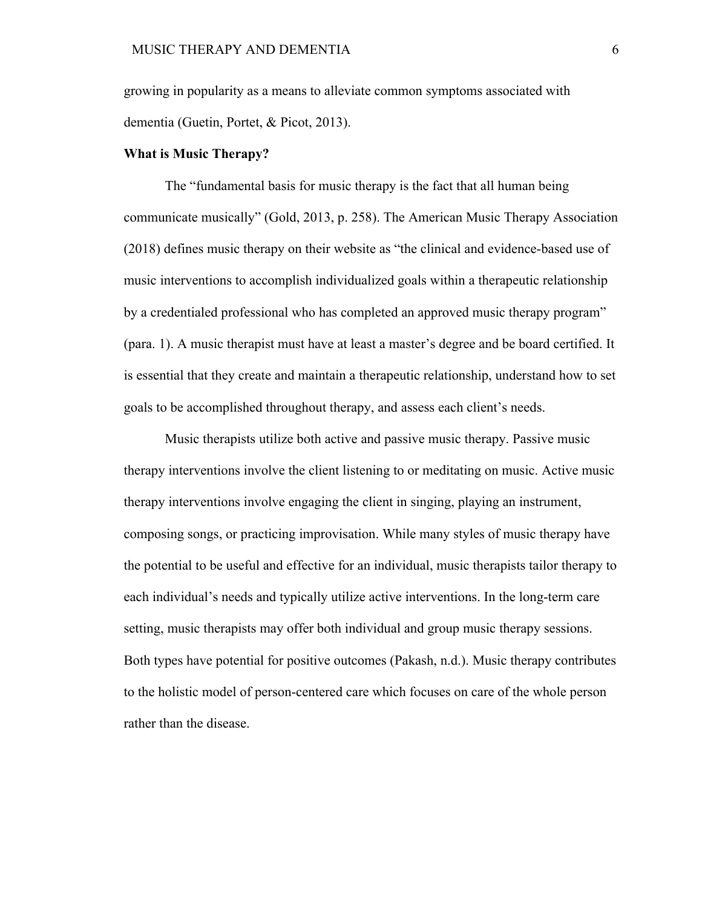growing in popularity as a means to alleviate common symptoms associated with dementia (Guetin, Portet, & Picot, 2013).

### **What is Music Therapy?**

The "fundamental basis for music therapy is the fact that all human being communicate musically" (Gold, 2013, p. 258). The American Music Therapy Association (2018) defines music therapy on their website as "the clinical and evidence-based use of music interventions to accomplish individualized goals within a therapeutic relationship by a credentialed professional who has completed an approved music therapy program" (para. 1). A music therapist must have at least a master's degree and be board certified. It is essential that they create and maintain a therapeutic relationship, understand how to set goals to be accomplished throughout therapy, and assess each client's needs.

Music therapists utilize both active and passive music therapy. Passive music therapy interventions involve the client listening to or meditating on music. Active music therapy interventions involve engaging the client in singing, playing an instrument, composing songs, or practicing improvisation. While many styles of music therapy have the potential to be useful and effective for an individual, music therapists tailor therapy to each individual's needs and typically utilize active interventions. In the long-term care setting, music therapists may offer both individual and group music therapy sessions. Both types have potential for positive outcomes (Pakash, n.d.). Music therapy contributes to the holistic model of person-centered care which focuses on care of the whole person rather than the disease.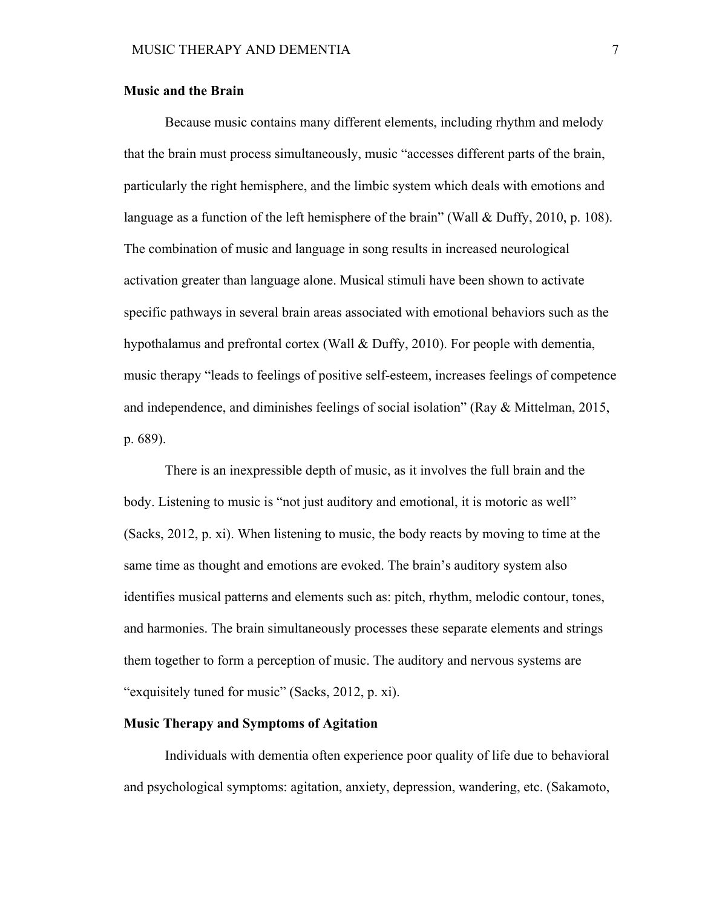# **Music and the Brain**

Because music contains many different elements, including rhythm and melody that the brain must process simultaneously, music "accesses different parts of the brain, particularly the right hemisphere, and the limbic system which deals with emotions and language as a function of the left hemisphere of the brain" (Wall & Duffy, 2010, p. 108). The combination of music and language in song results in increased neurological activation greater than language alone. Musical stimuli have been shown to activate specific pathways in several brain areas associated with emotional behaviors such as the hypothalamus and prefrontal cortex (Wall & Duffy, 2010). For people with dementia, music therapy "leads to feelings of positive self-esteem, increases feelings of competence and independence, and diminishes feelings of social isolation" (Ray & Mittelman, 2015, p. 689).

There is an inexpressible depth of music, as it involves the full brain and the body. Listening to music is "not just auditory and emotional, it is motoric as well" (Sacks, 2012, p. xi). When listening to music, the body reacts by moving to time at the same time as thought and emotions are evoked. The brain's auditory system also identifies musical patterns and elements such as: pitch, rhythm, melodic contour, tones, and harmonies. The brain simultaneously processes these separate elements and strings them together to form a perception of music. The auditory and nervous systems are "exquisitely tuned for music" (Sacks, 2012, p. xi).

#### **Music Therapy and Symptoms of Agitation**

Individuals with dementia often experience poor quality of life due to behavioral and psychological symptoms: agitation, anxiety, depression, wandering, etc. (Sakamoto,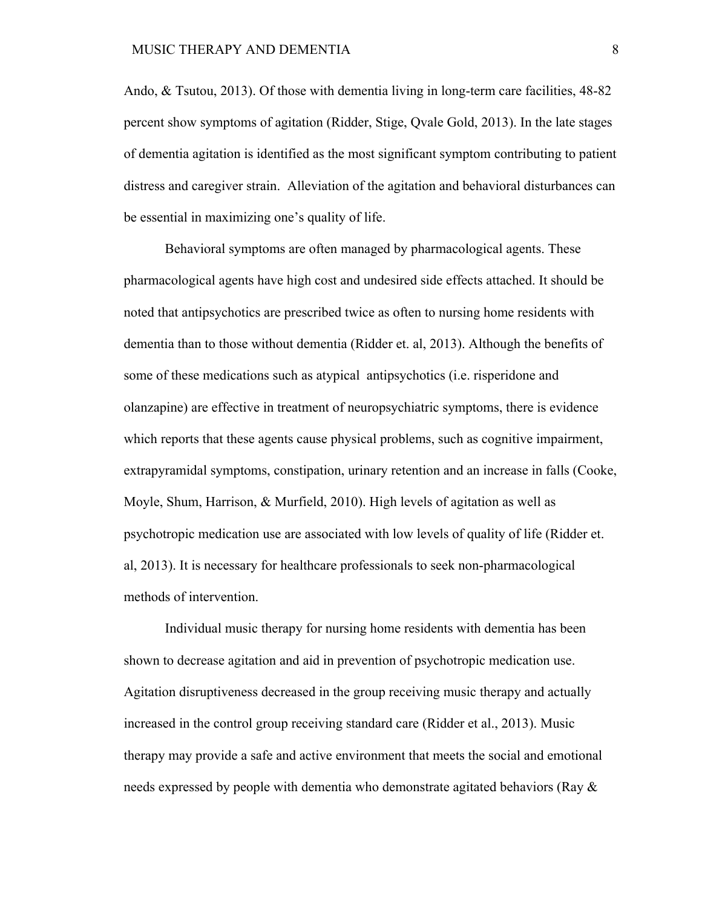Ando, & Tsutou, 2013). Of those with dementia living in long-term care facilities, 48-82 percent show symptoms of agitation (Ridder, Stige, Qvale Gold, 2013). In the late stages of dementia agitation is identified as the most significant symptom contributing to patient distress and caregiver strain. Alleviation of the agitation and behavioral disturbances can be essential in maximizing one's quality of life.

Behavioral symptoms are often managed by pharmacological agents. These pharmacological agents have high cost and undesired side effects attached. It should be noted that antipsychotics are prescribed twice as often to nursing home residents with dementia than to those without dementia (Ridder et. al, 2013). Although the benefits of some of these medications such as atypical antipsychotics (i.e. risperidone and olanzapine) are effective in treatment of neuropsychiatric symptoms, there is evidence which reports that these agents cause physical problems, such as cognitive impairment, extrapyramidal symptoms, constipation, urinary retention and an increase in falls (Cooke, Moyle, Shum, Harrison, & Murfield, 2010). High levels of agitation as well as psychotropic medication use are associated with low levels of quality of life (Ridder et. al, 2013). It is necessary for healthcare professionals to seek non-pharmacological methods of intervention.

Individual music therapy for nursing home residents with dementia has been shown to decrease agitation and aid in prevention of psychotropic medication use. Agitation disruptiveness decreased in the group receiving music therapy and actually increased in the control group receiving standard care (Ridder et al., 2013). Music therapy may provide a safe and active environment that meets the social and emotional needs expressed by people with dementia who demonstrate agitated behaviors (Ray  $\&$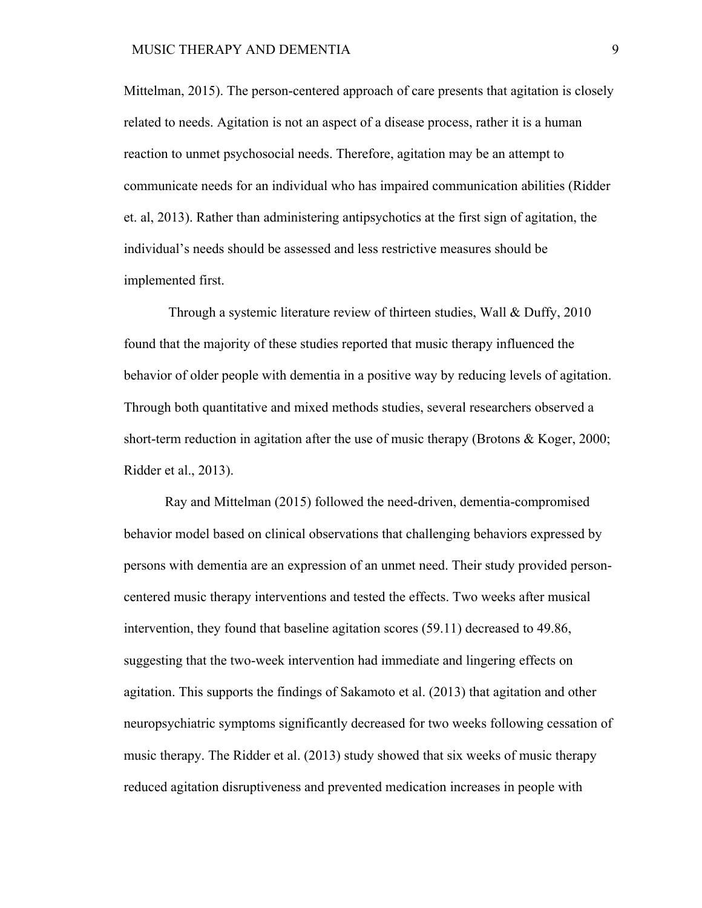Mittelman, 2015). The person-centered approach of care presents that agitation is closely related to needs. Agitation is not an aspect of a disease process, rather it is a human reaction to unmet psychosocial needs. Therefore, agitation may be an attempt to communicate needs for an individual who has impaired communication abilities (Ridder et. al, 2013). Rather than administering antipsychotics at the first sign of agitation, the individual's needs should be assessed and less restrictive measures should be implemented first.

Through a systemic literature review of thirteen studies, Wall & Duffy, 2010 found that the majority of these studies reported that music therapy influenced the behavior of older people with dementia in a positive way by reducing levels of agitation. Through both quantitative and mixed methods studies, several researchers observed a short-term reduction in agitation after the use of music therapy (Brotons & Koger, 2000; Ridder et al., 2013).

Ray and Mittelman (2015) followed the need-driven, dementia-compromised behavior model based on clinical observations that challenging behaviors expressed by persons with dementia are an expression of an unmet need. Their study provided personcentered music therapy interventions and tested the effects. Two weeks after musical intervention, they found that baseline agitation scores (59.11) decreased to 49.86, suggesting that the two-week intervention had immediate and lingering effects on agitation. This supports the findings of Sakamoto et al. (2013) that agitation and other neuropsychiatric symptoms significantly decreased for two weeks following cessation of music therapy. The Ridder et al. (2013) study showed that six weeks of music therapy reduced agitation disruptiveness and prevented medication increases in people with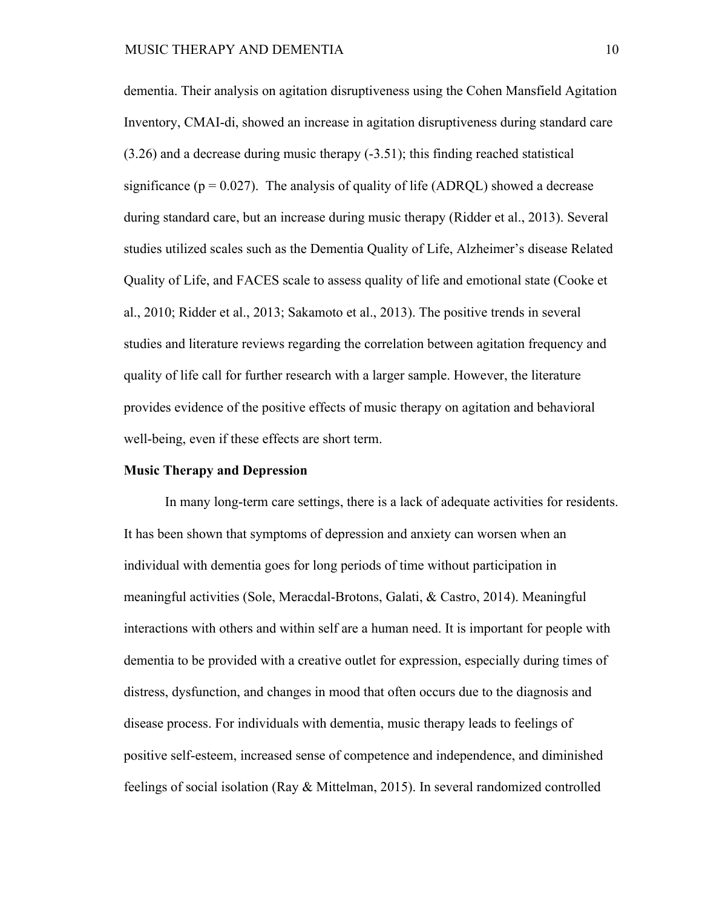dementia. Their analysis on agitation disruptiveness using the Cohen Mansfield Agitation Inventory, CMAI-di, showed an increase in agitation disruptiveness during standard care (3.26) and a decrease during music therapy (-3.51); this finding reached statistical significance ( $p = 0.027$ ). The analysis of quality of life (ADRQL) showed a decrease during standard care, but an increase during music therapy (Ridder et al., 2013). Several studies utilized scales such as the Dementia Quality of Life, Alzheimer's disease Related Quality of Life, and FACES scale to assess quality of life and emotional state (Cooke et al., 2010; Ridder et al., 2013; Sakamoto et al., 2013). The positive trends in several studies and literature reviews regarding the correlation between agitation frequency and quality of life call for further research with a larger sample. However, the literature provides evidence of the positive effects of music therapy on agitation and behavioral well-being, even if these effects are short term.

#### **Music Therapy and Depression**

In many long-term care settings, there is a lack of adequate activities for residents. It has been shown that symptoms of depression and anxiety can worsen when an individual with dementia goes for long periods of time without participation in meaningful activities (Sole, Meracdal-Brotons, Galati, & Castro, 2014). Meaningful interactions with others and within self are a human need. It is important for people with dementia to be provided with a creative outlet for expression, especially during times of distress, dysfunction, and changes in mood that often occurs due to the diagnosis and disease process. For individuals with dementia, music therapy leads to feelings of positive self-esteem, increased sense of competence and independence, and diminished feelings of social isolation (Ray & Mittelman, 2015). In several randomized controlled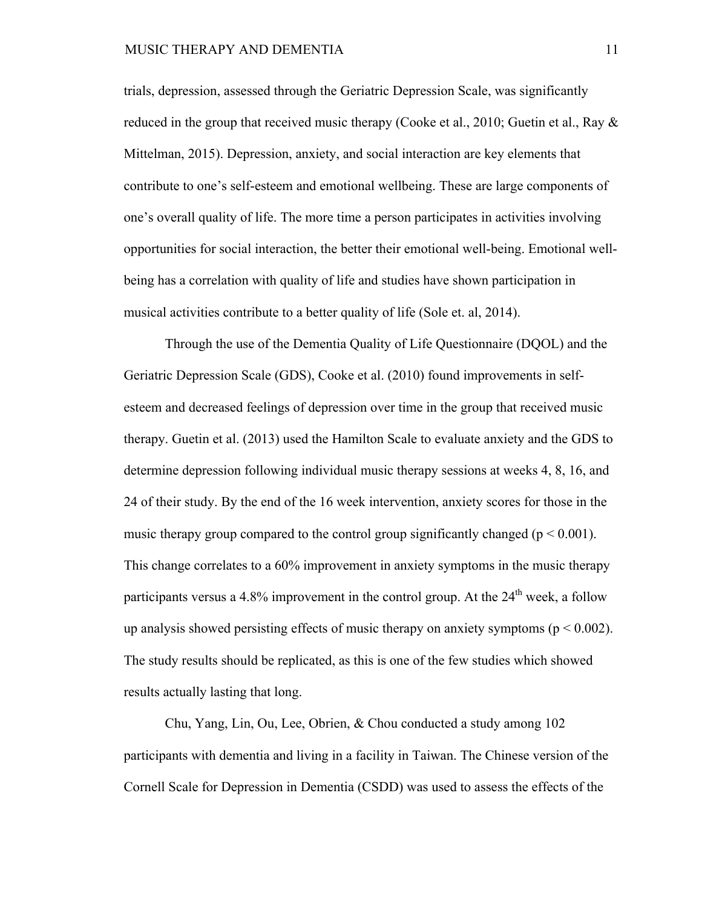trials, depression, assessed through the Geriatric Depression Scale, was significantly reduced in the group that received music therapy (Cooke et al., 2010; Guetin et al., Ray & Mittelman, 2015). Depression, anxiety, and social interaction are key elements that contribute to one's self-esteem and emotional wellbeing. These are large components of one's overall quality of life. The more time a person participates in activities involving opportunities for social interaction, the better their emotional well-being. Emotional wellbeing has a correlation with quality of life and studies have shown participation in musical activities contribute to a better quality of life (Sole et. al, 2014).

Through the use of the Dementia Quality of Life Questionnaire (DQOL) and the Geriatric Depression Scale (GDS), Cooke et al. (2010) found improvements in selfesteem and decreased feelings of depression over time in the group that received music therapy. Guetin et al. (2013) used the Hamilton Scale to evaluate anxiety and the GDS to determine depression following individual music therapy sessions at weeks 4, 8, 16, and 24 of their study. By the end of the 16 week intervention, anxiety scores for those in the music therapy group compared to the control group significantly changed ( $p < 0.001$ ). This change correlates to a 60% improvement in anxiety symptoms in the music therapy participants versus a 4.8% improvement in the control group. At the  $24<sup>th</sup>$  week, a follow up analysis showed persisting effects of music therapy on anxiety symptoms ( $p < 0.002$ ). The study results should be replicated, as this is one of the few studies which showed results actually lasting that long.

Chu, Yang, Lin, Ou, Lee, Obrien, & Chou conducted a study among 102 participants with dementia and living in a facility in Taiwan. The Chinese version of the Cornell Scale for Depression in Dementia (CSDD) was used to assess the effects of the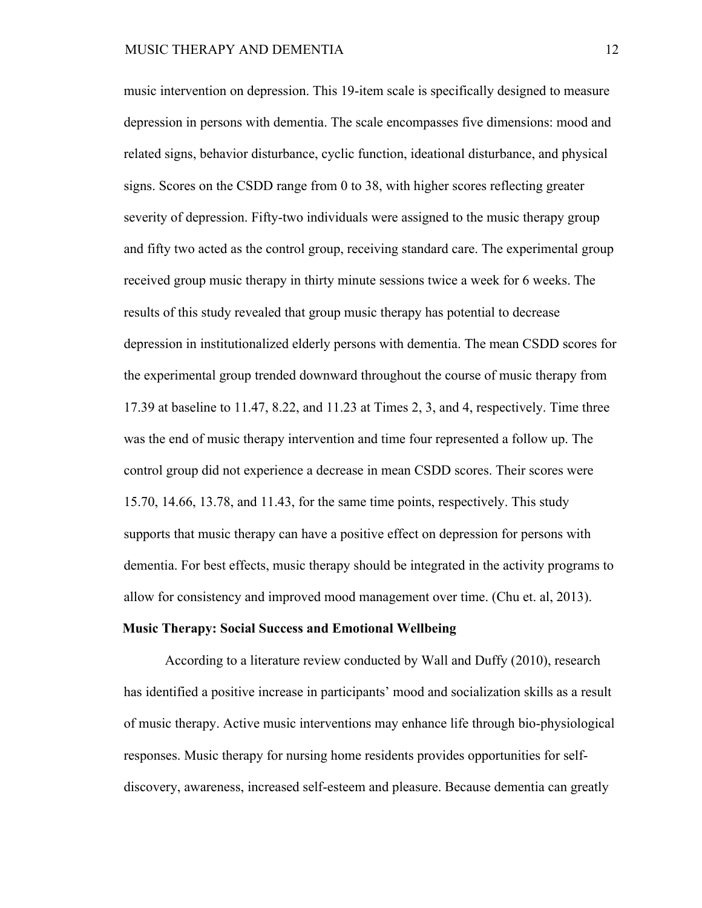music intervention on depression. This 19-item scale is specifically designed to measure depression in persons with dementia. The scale encompasses five dimensions: mood and related signs, behavior disturbance, cyclic function, ideational disturbance, and physical signs. Scores on the CSDD range from 0 to 38, with higher scores reflecting greater severity of depression. Fifty-two individuals were assigned to the music therapy group and fifty two acted as the control group, receiving standard care. The experimental group received group music therapy in thirty minute sessions twice a week for 6 weeks. The results of this study revealed that group music therapy has potential to decrease depression in institutionalized elderly persons with dementia. The mean CSDD scores for the experimental group trended downward throughout the course of music therapy from 17.39 at baseline to 11.47, 8.22, and 11.23 at Times 2, 3, and 4, respectively. Time three was the end of music therapy intervention and time four represented a follow up. The control group did not experience a decrease in mean CSDD scores. Their scores were 15.70, 14.66, 13.78, and 11.43, for the same time points, respectively. This study supports that music therapy can have a positive effect on depression for persons with dementia. For best effects, music therapy should be integrated in the activity programs to allow for consistency and improved mood management over time. (Chu et. al, 2013).

#### **Music Therapy: Social Success and Emotional Wellbeing**

According to a literature review conducted by Wall and Duffy (2010), research has identified a positive increase in participants' mood and socialization skills as a result of music therapy. Active music interventions may enhance life through bio-physiological responses. Music therapy for nursing home residents provides opportunities for selfdiscovery, awareness, increased self-esteem and pleasure. Because dementia can greatly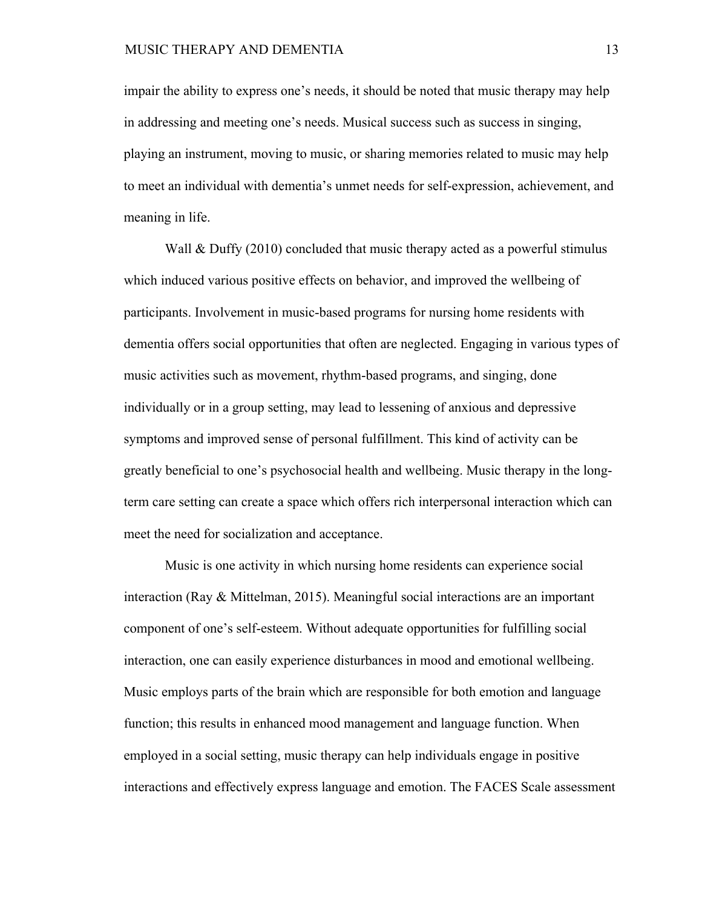impair the ability to express one's needs, it should be noted that music therapy may help in addressing and meeting one's needs. Musical success such as success in singing, playing an instrument, moving to music, or sharing memories related to music may help to meet an individual with dementia's unmet needs for self-expression, achievement, and meaning in life.

Wall & Duffy (2010) concluded that music therapy acted as a powerful stimulus which induced various positive effects on behavior, and improved the wellbeing of participants. Involvement in music-based programs for nursing home residents with dementia offers social opportunities that often are neglected. Engaging in various types of music activities such as movement, rhythm-based programs, and singing, done individually or in a group setting, may lead to lessening of anxious and depressive symptoms and improved sense of personal fulfillment. This kind of activity can be greatly beneficial to one's psychosocial health and wellbeing. Music therapy in the longterm care setting can create a space which offers rich interpersonal interaction which can meet the need for socialization and acceptance.

Music is one activity in which nursing home residents can experience social interaction (Ray & Mittelman, 2015). Meaningful social interactions are an important component of one's self-esteem. Without adequate opportunities for fulfilling social interaction, one can easily experience disturbances in mood and emotional wellbeing. Music employs parts of the brain which are responsible for both emotion and language function; this results in enhanced mood management and language function. When employed in a social setting, music therapy can help individuals engage in positive interactions and effectively express language and emotion. The FACES Scale assessment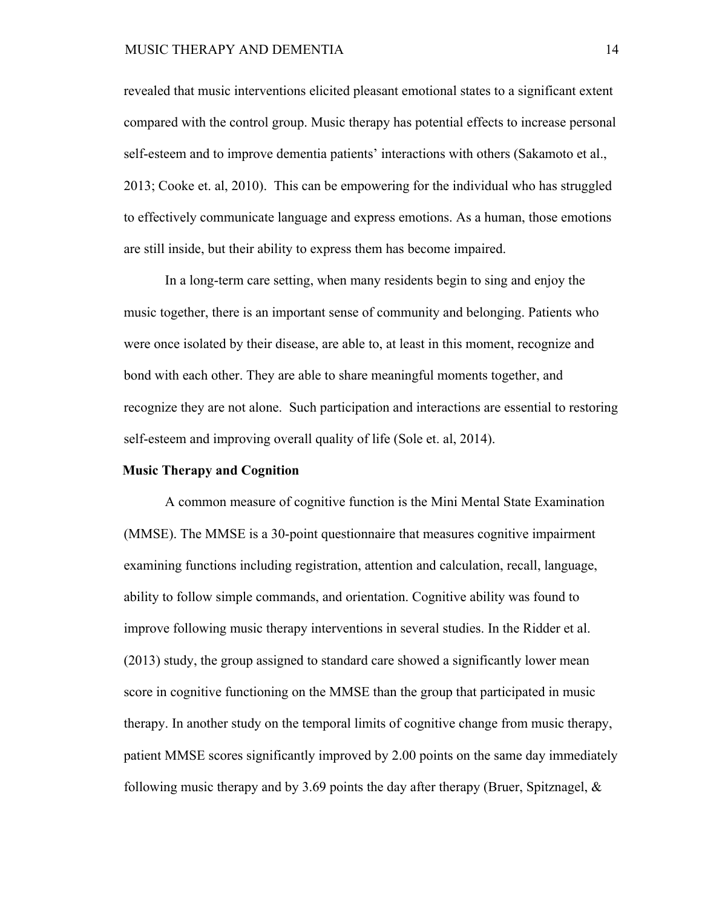revealed that music interventions elicited pleasant emotional states to a significant extent compared with the control group. Music therapy has potential effects to increase personal self-esteem and to improve dementia patients' interactions with others (Sakamoto et al., 2013; Cooke et. al, 2010). This can be empowering for the individual who has struggled to effectively communicate language and express emotions. As a human, those emotions are still inside, but their ability to express them has become impaired.

In a long-term care setting, when many residents begin to sing and enjoy the music together, there is an important sense of community and belonging. Patients who were once isolated by their disease, are able to, at least in this moment, recognize and bond with each other. They are able to share meaningful moments together, and recognize they are not alone. Such participation and interactions are essential to restoring self-esteem and improving overall quality of life (Sole et. al, 2014).

# **Music Therapy and Cognition**

A common measure of cognitive function is the Mini Mental State Examination (MMSE). The MMSE is a 30-point questionnaire that measures cognitive impairment examining functions including registration, attention and calculation, recall, language, ability to follow simple commands, and orientation. Cognitive ability was found to improve following music therapy interventions in several studies. In the Ridder et al. (2013) study, the group assigned to standard care showed a significantly lower mean score in cognitive functioning on the MMSE than the group that participated in music therapy. In another study on the temporal limits of cognitive change from music therapy, patient MMSE scores significantly improved by 2.00 points on the same day immediately following music therapy and by 3.69 points the day after therapy (Bruer, Spitznagel,  $\&$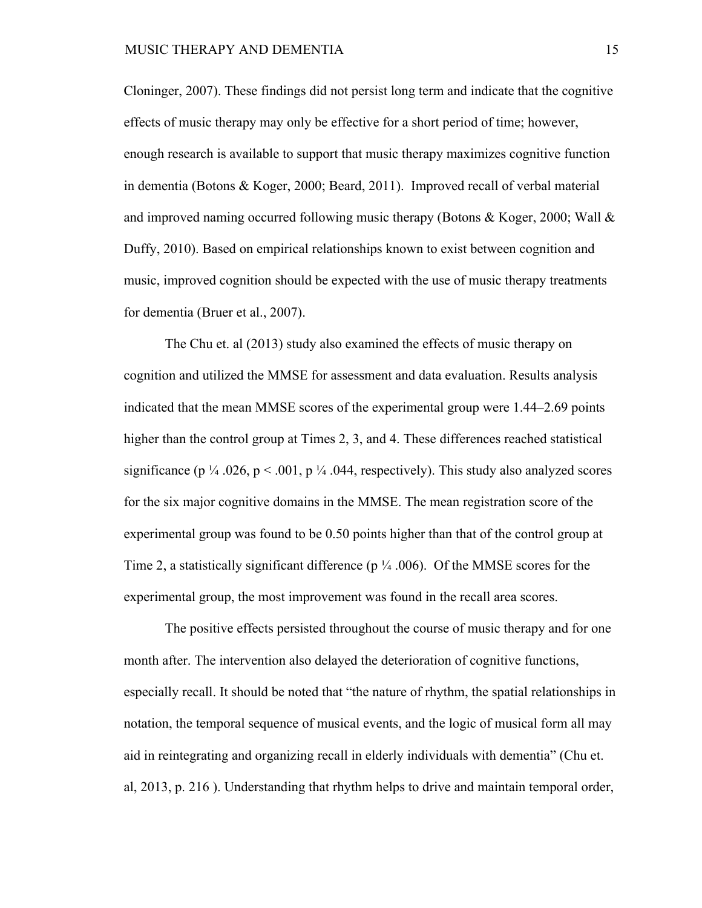Cloninger, 2007). These findings did not persist long term and indicate that the cognitive effects of music therapy may only be effective for a short period of time; however, enough research is available to support that music therapy maximizes cognitive function in dementia (Botons & Koger, 2000; Beard, 2011). Improved recall of verbal material and improved naming occurred following music therapy (Botons & Koger, 2000; Wall  $\&$ Duffy, 2010). Based on empirical relationships known to exist between cognition and music, improved cognition should be expected with the use of music therapy treatments for dementia (Bruer et al., 2007).

The Chu et. al (2013) study also examined the effects of music therapy on cognition and utilized the MMSE for assessment and data evaluation. Results analysis indicated that the mean MMSE scores of the experimental group were 1.44–2.69 points higher than the control group at Times 2, 3, and 4. These differences reached statistical significance (p  $\frac{1}{4}$  .026, p < .001, p  $\frac{1}{4}$  .044, respectively). This study also analyzed scores for the six major cognitive domains in the MMSE. The mean registration score of the experimental group was found to be 0.50 points higher than that of the control group at Time 2, a statistically significant difference ( $p \frac{1}{4}$  .006). Of the MMSE scores for the experimental group, the most improvement was found in the recall area scores.

The positive effects persisted throughout the course of music therapy and for one month after. The intervention also delayed the deterioration of cognitive functions, especially recall. It should be noted that "the nature of rhythm, the spatial relationships in notation, the temporal sequence of musical events, and the logic of musical form all may aid in reintegrating and organizing recall in elderly individuals with dementia" (Chu et. al, 2013, p. 216 ). Understanding that rhythm helps to drive and maintain temporal order,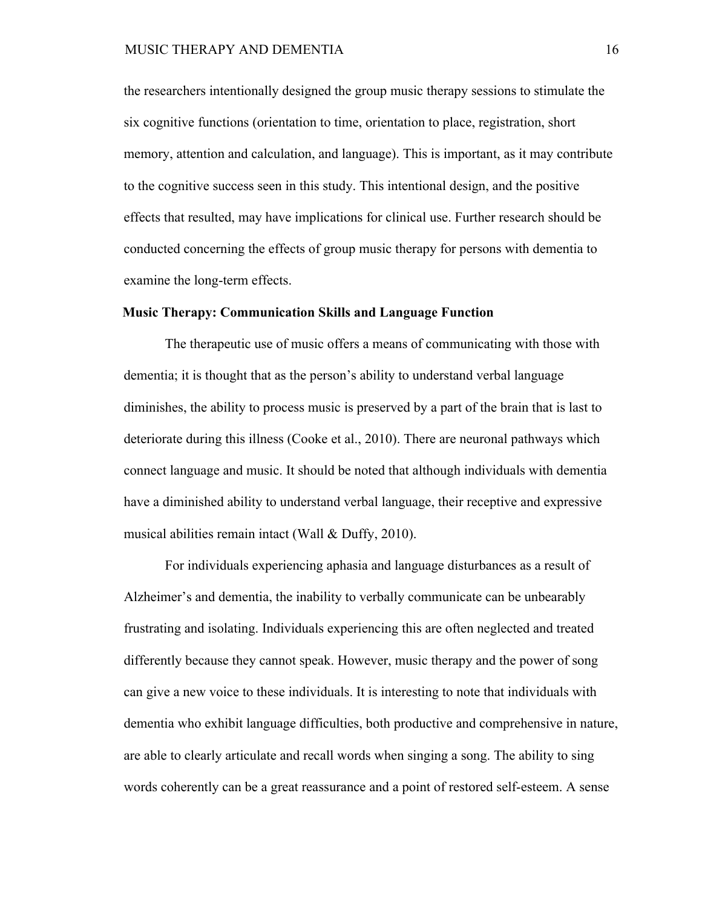the researchers intentionally designed the group music therapy sessions to stimulate the six cognitive functions (orientation to time, orientation to place, registration, short memory, attention and calculation, and language). This is important, as it may contribute to the cognitive success seen in this study. This intentional design, and the positive effects that resulted, may have implications for clinical use. Further research should be conducted concerning the effects of group music therapy for persons with dementia to examine the long-term effects.

#### **Music Therapy: Communication Skills and Language Function**

The therapeutic use of music offers a means of communicating with those with dementia; it is thought that as the person's ability to understand verbal language diminishes, the ability to process music is preserved by a part of the brain that is last to deteriorate during this illness (Cooke et al., 2010). There are neuronal pathways which connect language and music. It should be noted that although individuals with dementia have a diminished ability to understand verbal language, their receptive and expressive musical abilities remain intact (Wall & Duffy, 2010).

For individuals experiencing aphasia and language disturbances as a result of Alzheimer's and dementia, the inability to verbally communicate can be unbearably frustrating and isolating. Individuals experiencing this are often neglected and treated differently because they cannot speak. However, music therapy and the power of song can give a new voice to these individuals. It is interesting to note that individuals with dementia who exhibit language difficulties, both productive and comprehensive in nature, are able to clearly articulate and recall words when singing a song. The ability to sing words coherently can be a great reassurance and a point of restored self-esteem. A sense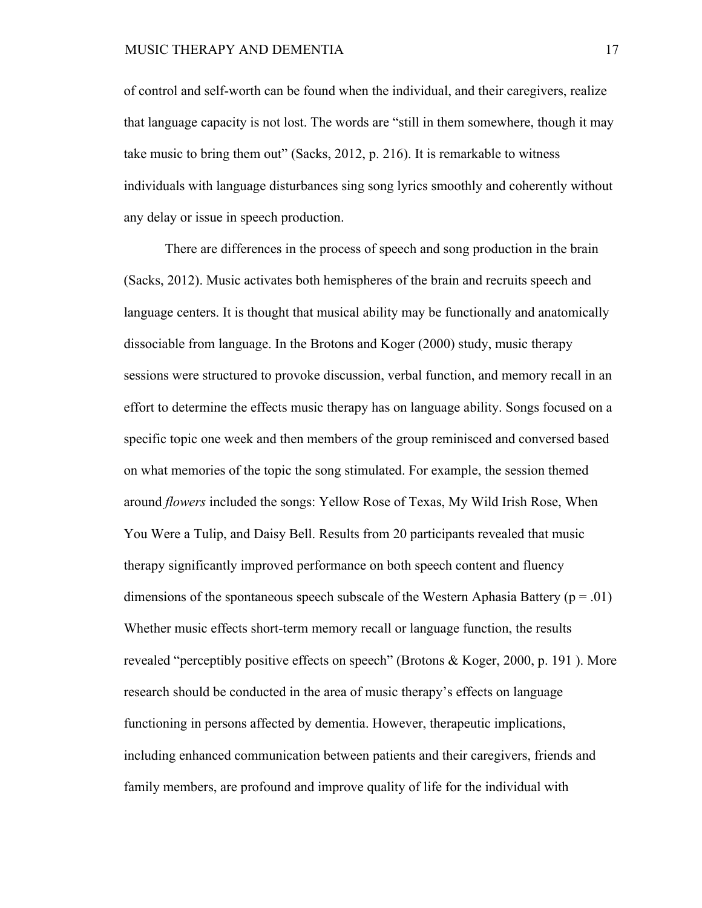of control and self-worth can be found when the individual, and their caregivers, realize that language capacity is not lost. The words are "still in them somewhere, though it may take music to bring them out" (Sacks, 2012, p. 216). It is remarkable to witness individuals with language disturbances sing song lyrics smoothly and coherently without any delay or issue in speech production.

There are differences in the process of speech and song production in the brain (Sacks, 2012). Music activates both hemispheres of the brain and recruits speech and language centers. It is thought that musical ability may be functionally and anatomically dissociable from language. In the Brotons and Koger (2000) study, music therapy sessions were structured to provoke discussion, verbal function, and memory recall in an effort to determine the effects music therapy has on language ability. Songs focused on a specific topic one week and then members of the group reminisced and conversed based on what memories of the topic the song stimulated. For example, the session themed around *flowers* included the songs: Yellow Rose of Texas, My Wild Irish Rose, When You Were a Tulip, and Daisy Bell. Results from 20 participants revealed that music therapy significantly improved performance on both speech content and fluency dimensions of the spontaneous speech subscale of the Western Aphasia Battery ( $p = .01$ ) Whether music effects short-term memory recall or language function, the results revealed "perceptibly positive effects on speech" (Brotons & Koger, 2000, p. 191 ). More research should be conducted in the area of music therapy's effects on language functioning in persons affected by dementia. However, therapeutic implications, including enhanced communication between patients and their caregivers, friends and family members, are profound and improve quality of life for the individual with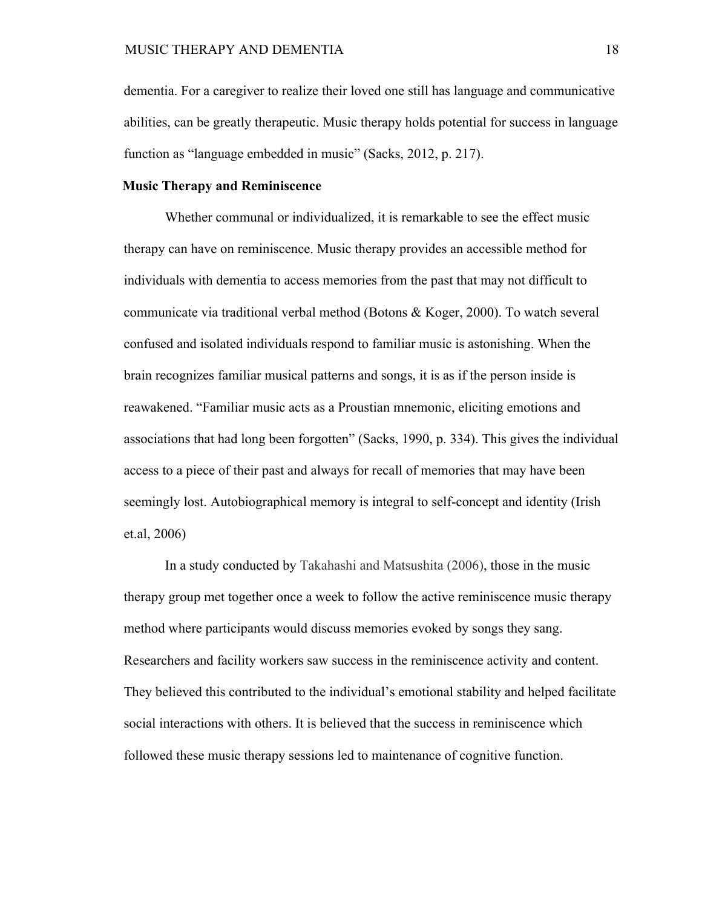dementia. For a caregiver to realize their loved one still has language and communicative abilities, can be greatly therapeutic. Music therapy holds potential for success in language function as "language embedded in music" (Sacks, 2012, p. 217).

# **Music Therapy and Reminiscence**

Whether communal or individualized, it is remarkable to see the effect music therapy can have on reminiscence. Music therapy provides an accessible method for individuals with dementia to access memories from the past that may not difficult to communicate via traditional verbal method (Botons & Koger, 2000). To watch several confused and isolated individuals respond to familiar music is astonishing. When the brain recognizes familiar musical patterns and songs, it is as if the person inside is reawakened. "Familiar music acts as a Proustian mnemonic, eliciting emotions and associations that had long been forgotten" (Sacks, 1990, p. 334). This gives the individual access to a piece of their past and always for recall of memories that may have been seemingly lost. Autobiographical memory is integral to self-concept and identity (Irish et.al, 2006)

In a study conducted by Takahashi and Matsushita (2006), those in the music therapy group met together once a week to follow the active reminiscence music therapy method where participants would discuss memories evoked by songs they sang. Researchers and facility workers saw success in the reminiscence activity and content. They believed this contributed to the individual's emotional stability and helped facilitate social interactions with others. It is believed that the success in reminiscence which followed these music therapy sessions led to maintenance of cognitive function.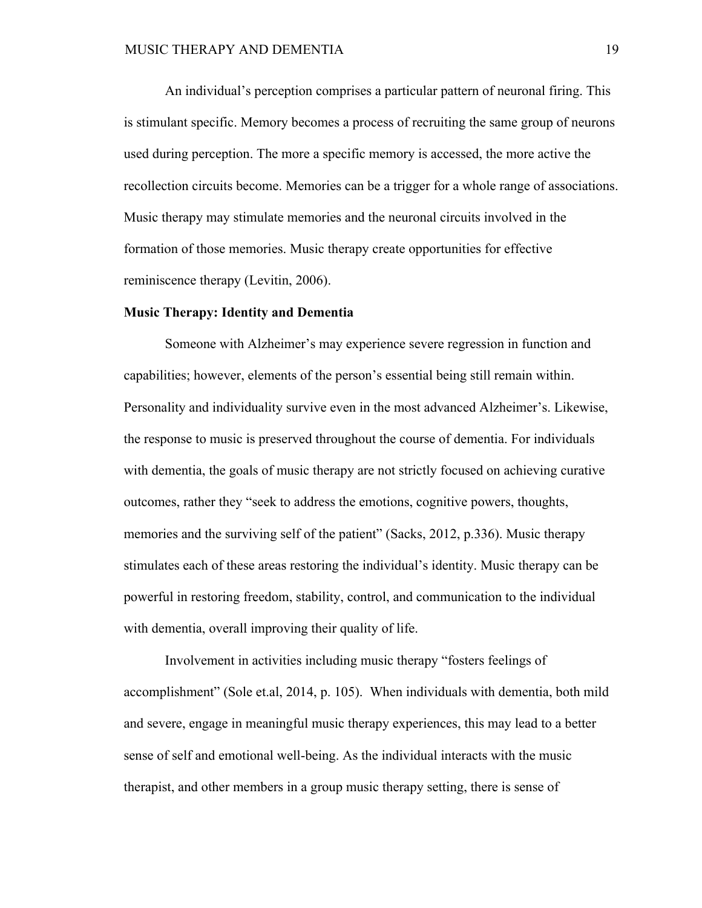An individual's perception comprises a particular pattern of neuronal firing. This is stimulant specific. Memory becomes a process of recruiting the same group of neurons used during perception. The more a specific memory is accessed, the more active the recollection circuits become. Memories can be a trigger for a whole range of associations. Music therapy may stimulate memories and the neuronal circuits involved in the formation of those memories. Music therapy create opportunities for effective reminiscence therapy (Levitin, 2006).

#### **Music Therapy: Identity and Dementia**

Someone with Alzheimer's may experience severe regression in function and capabilities; however, elements of the person's essential being still remain within. Personality and individuality survive even in the most advanced Alzheimer's. Likewise, the response to music is preserved throughout the course of dementia. For individuals with dementia, the goals of music therapy are not strictly focused on achieving curative outcomes, rather they "seek to address the emotions, cognitive powers, thoughts, memories and the surviving self of the patient" (Sacks, 2012, p.336). Music therapy stimulates each of these areas restoring the individual's identity. Music therapy can be powerful in restoring freedom, stability, control, and communication to the individual with dementia, overall improving their quality of life.

Involvement in activities including music therapy "fosters feelings of accomplishment" (Sole et.al, 2014, p. 105). When individuals with dementia, both mild and severe, engage in meaningful music therapy experiences, this may lead to a better sense of self and emotional well-being. As the individual interacts with the music therapist, and other members in a group music therapy setting, there is sense of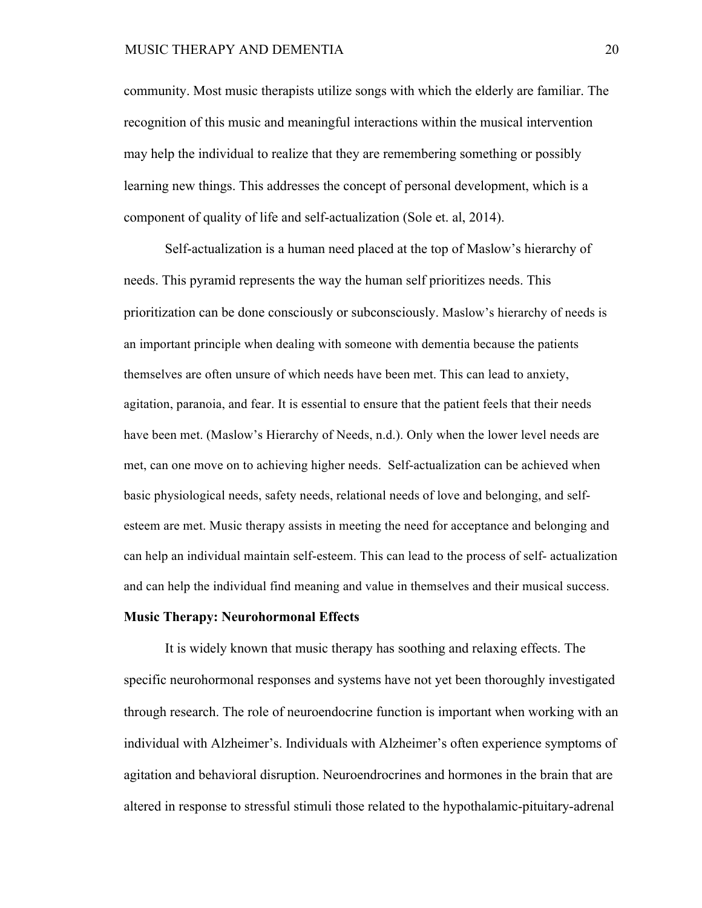### MUSIC THERAPY AND DEMENTIA 20

community. Most music therapists utilize songs with which the elderly are familiar. The recognition of this music and meaningful interactions within the musical intervention may help the individual to realize that they are remembering something or possibly learning new things. This addresses the concept of personal development, which is a component of quality of life and self-actualization (Sole et. al, 2014).

Self-actualization is a human need placed at the top of Maslow's hierarchy of needs. This pyramid represents the way the human self prioritizes needs. This prioritization can be done consciously or subconsciously. Maslow's hierarchy of needs is an important principle when dealing with someone with dementia because the patients themselves are often unsure of which needs have been met. This can lead to anxiety, agitation, paranoia, and fear. It is essential to ensure that the patient feels that their needs have been met. (Maslow's Hierarchy of Needs, n.d.). Only when the lower level needs are met, can one move on to achieving higher needs. Self-actualization can be achieved when basic physiological needs, safety needs, relational needs of love and belonging, and selfesteem are met. Music therapy assists in meeting the need for acceptance and belonging and can help an individual maintain self-esteem. This can lead to the process of self- actualization and can help the individual find meaning and value in themselves and their musical success.

#### **Music Therapy: Neurohormonal Effects**

It is widely known that music therapy has soothing and relaxing effects. The specific neurohormonal responses and systems have not yet been thoroughly investigated through research. The role of neuroendocrine function is important when working with an individual with Alzheimer's. Individuals with Alzheimer's often experience symptoms of agitation and behavioral disruption. Neuroendrocrines and hormones in the brain that are altered in response to stressful stimuli those related to the hypothalamic-pituitary-adrenal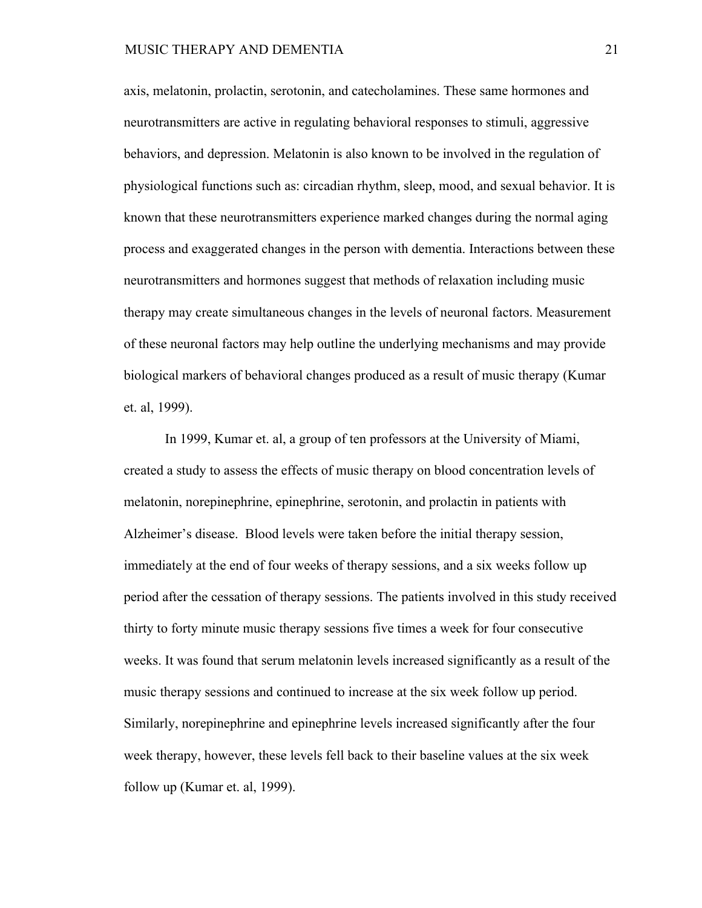axis, melatonin, prolactin, serotonin, and catecholamines. These same hormones and neurotransmitters are active in regulating behavioral responses to stimuli, aggressive behaviors, and depression. Melatonin is also known to be involved in the regulation of physiological functions such as: circadian rhythm, sleep, mood, and sexual behavior. It is known that these neurotransmitters experience marked changes during the normal aging process and exaggerated changes in the person with dementia. Interactions between these neurotransmitters and hormones suggest that methods of relaxation including music therapy may create simultaneous changes in the levels of neuronal factors. Measurement of these neuronal factors may help outline the underlying mechanisms and may provide biological markers of behavioral changes produced as a result of music therapy (Kumar et. al, 1999).

In 1999, Kumar et. al, a group of ten professors at the University of Miami, created a study to assess the effects of music therapy on blood concentration levels of melatonin, norepinephrine, epinephrine, serotonin, and prolactin in patients with Alzheimer's disease. Blood levels were taken before the initial therapy session, immediately at the end of four weeks of therapy sessions, and a six weeks follow up period after the cessation of therapy sessions. The patients involved in this study received thirty to forty minute music therapy sessions five times a week for four consecutive weeks. It was found that serum melatonin levels increased significantly as a result of the music therapy sessions and continued to increase at the six week follow up period. Similarly, norepinephrine and epinephrine levels increased significantly after the four week therapy, however, these levels fell back to their baseline values at the six week follow up (Kumar et. al, 1999).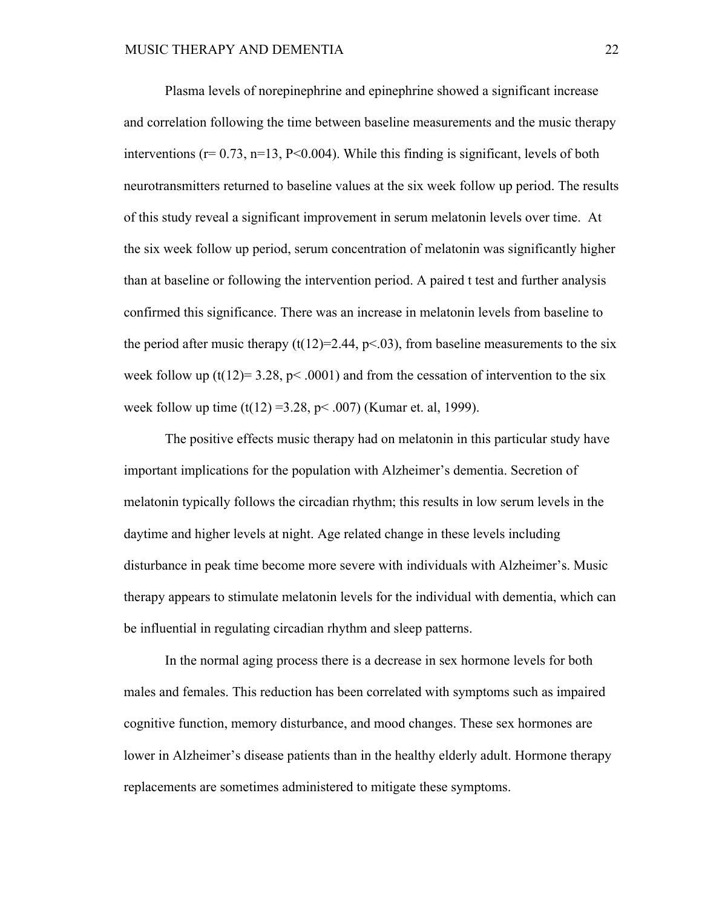Plasma levels of norepinephrine and epinephrine showed a significant increase and correlation following the time between baseline measurements and the music therapy interventions ( $r= 0.73$ ,  $n=13$ ,  $P<0.004$ ). While this finding is significant, levels of both neurotransmitters returned to baseline values at the six week follow up period. The results of this study reveal a significant improvement in serum melatonin levels over time. At the six week follow up period, serum concentration of melatonin was significantly higher than at baseline or following the intervention period. A paired t test and further analysis confirmed this significance. There was an increase in melatonin levels from baseline to the period after music therapy  $(t(12)=2.44, p<0.03)$ , from baseline measurements to the six week follow up (t(12)= 3.28, p< .0001) and from the cessation of intervention to the six week follow up time  $(t(12) = 3.28, p < .007)$  (Kumar et. al, 1999).

The positive effects music therapy had on melatonin in this particular study have important implications for the population with Alzheimer's dementia. Secretion of melatonin typically follows the circadian rhythm; this results in low serum levels in the daytime and higher levels at night. Age related change in these levels including disturbance in peak time become more severe with individuals with Alzheimer's. Music therapy appears to stimulate melatonin levels for the individual with dementia, which can be influential in regulating circadian rhythm and sleep patterns.

In the normal aging process there is a decrease in sex hormone levels for both males and females. This reduction has been correlated with symptoms such as impaired cognitive function, memory disturbance, and mood changes. These sex hormones are lower in Alzheimer's disease patients than in the healthy elderly adult. Hormone therapy replacements are sometimes administered to mitigate these symptoms.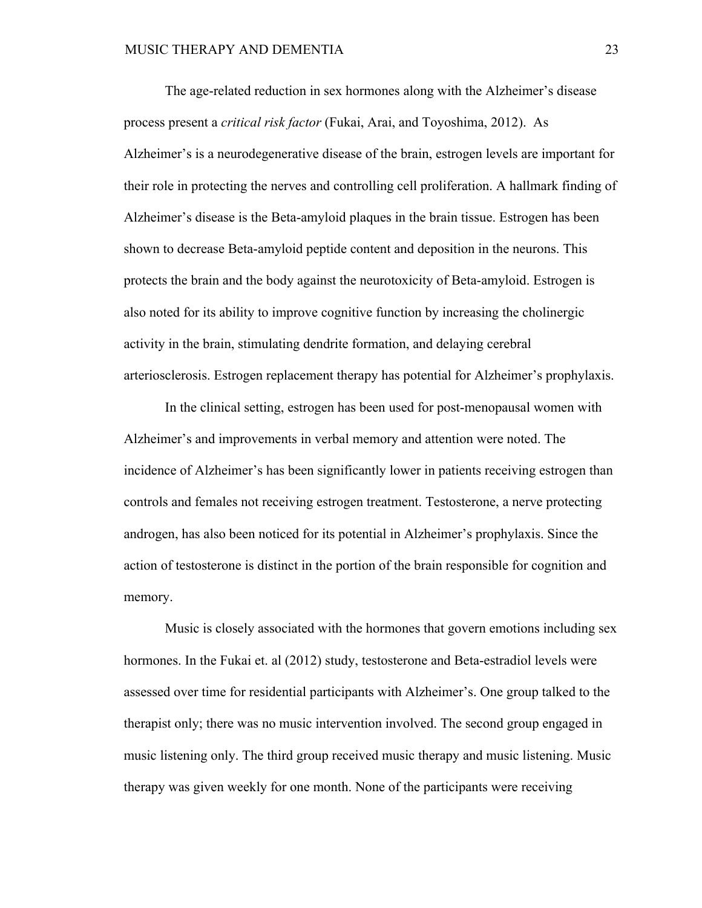The age-related reduction in sex hormones along with the Alzheimer's disease process present a *critical risk factor* (Fukai, Arai, and Toyoshima, 2012). As Alzheimer's is a neurodegenerative disease of the brain, estrogen levels are important for their role in protecting the nerves and controlling cell proliferation. A hallmark finding of Alzheimer's disease is the Beta-amyloid plaques in the brain tissue. Estrogen has been shown to decrease Beta-amyloid peptide content and deposition in the neurons. This protects the brain and the body against the neurotoxicity of Beta-amyloid. Estrogen is also noted for its ability to improve cognitive function by increasing the cholinergic activity in the brain, stimulating dendrite formation, and delaying cerebral arteriosclerosis. Estrogen replacement therapy has potential for Alzheimer's prophylaxis.

In the clinical setting, estrogen has been used for post-menopausal women with Alzheimer's and improvements in verbal memory and attention were noted. The incidence of Alzheimer's has been significantly lower in patients receiving estrogen than controls and females not receiving estrogen treatment. Testosterone, a nerve protecting androgen, has also been noticed for its potential in Alzheimer's prophylaxis. Since the action of testosterone is distinct in the portion of the brain responsible for cognition and memory.

Music is closely associated with the hormones that govern emotions including sex hormones. In the Fukai et. al (2012) study, testosterone and Beta-estradiol levels were assessed over time for residential participants with Alzheimer's. One group talked to the therapist only; there was no music intervention involved. The second group engaged in music listening only. The third group received music therapy and music listening. Music therapy was given weekly for one month. None of the participants were receiving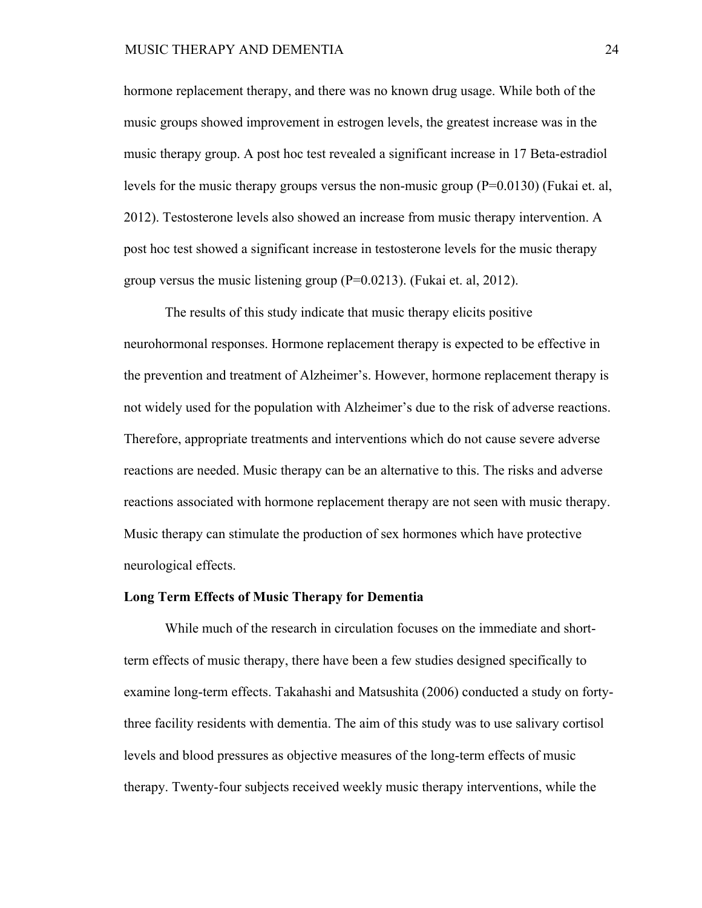hormone replacement therapy, and there was no known drug usage. While both of the music groups showed improvement in estrogen levels, the greatest increase was in the music therapy group. A post hoc test revealed a significant increase in 17 Beta-estradiol levels for the music therapy groups versus the non-music group (P=0.0130) (Fukai et. al, 2012). Testosterone levels also showed an increase from music therapy intervention. A post hoc test showed a significant increase in testosterone levels for the music therapy group versus the music listening group (P=0.0213). (Fukai et. al, 2012).

The results of this study indicate that music therapy elicits positive neurohormonal responses. Hormone replacement therapy is expected to be effective in the prevention and treatment of Alzheimer's. However, hormone replacement therapy is not widely used for the population with Alzheimer's due to the risk of adverse reactions. Therefore, appropriate treatments and interventions which do not cause severe adverse reactions are needed. Music therapy can be an alternative to this. The risks and adverse reactions associated with hormone replacement therapy are not seen with music therapy. Music therapy can stimulate the production of sex hormones which have protective neurological effects.

#### **Long Term Effects of Music Therapy for Dementia**

While much of the research in circulation focuses on the immediate and shortterm effects of music therapy, there have been a few studies designed specifically to examine long-term effects. Takahashi and Matsushita (2006) conducted a study on fortythree facility residents with dementia. The aim of this study was to use salivary cortisol levels and blood pressures as objective measures of the long-term effects of music therapy. Twenty-four subjects received weekly music therapy interventions, while the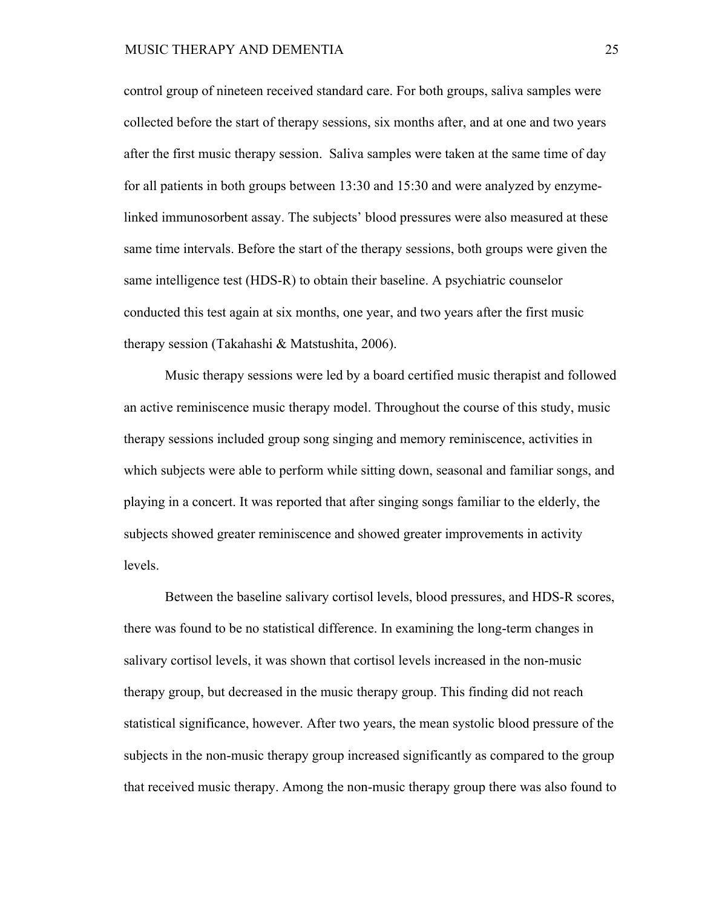control group of nineteen received standard care. For both groups, saliva samples were collected before the start of therapy sessions, six months after, and at one and two years after the first music therapy session. Saliva samples were taken at the same time of day for all patients in both groups between 13:30 and 15:30 and were analyzed by enzymelinked immunosorbent assay. The subjects' blood pressures were also measured at these same time intervals. Before the start of the therapy sessions, both groups were given the same intelligence test (HDS-R) to obtain their baseline. A psychiatric counselor conducted this test again at six months, one year, and two years after the first music therapy session (Takahashi & Matstushita, 2006).

Music therapy sessions were led by a board certified music therapist and followed an active reminiscence music therapy model. Throughout the course of this study, music therapy sessions included group song singing and memory reminiscence, activities in which subjects were able to perform while sitting down, seasonal and familiar songs, and playing in a concert. It was reported that after singing songs familiar to the elderly, the subjects showed greater reminiscence and showed greater improvements in activity levels.

Between the baseline salivary cortisol levels, blood pressures, and HDS-R scores, there was found to be no statistical difference. In examining the long-term changes in salivary cortisol levels, it was shown that cortisol levels increased in the non-music therapy group, but decreased in the music therapy group. This finding did not reach statistical significance, however. After two years, the mean systolic blood pressure of the subjects in the non-music therapy group increased significantly as compared to the group that received music therapy. Among the non-music therapy group there was also found to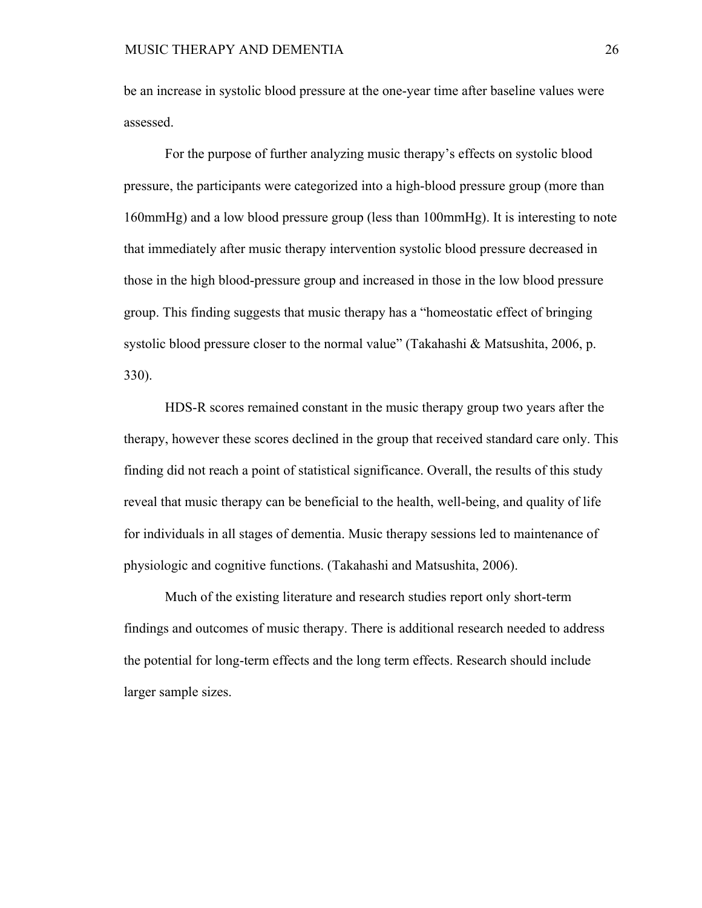be an increase in systolic blood pressure at the one-year time after baseline values were assessed.

For the purpose of further analyzing music therapy's effects on systolic blood pressure, the participants were categorized into a high-blood pressure group (more than 160mmHg) and a low blood pressure group (less than 100mmHg). It is interesting to note that immediately after music therapy intervention systolic blood pressure decreased in those in the high blood-pressure group and increased in those in the low blood pressure group. This finding suggests that music therapy has a "homeostatic effect of bringing systolic blood pressure closer to the normal value" (Takahashi & Matsushita, 2006, p. 330).

HDS-R scores remained constant in the music therapy group two years after the therapy, however these scores declined in the group that received standard care only. This finding did not reach a point of statistical significance. Overall, the results of this study reveal that music therapy can be beneficial to the health, well-being, and quality of life for individuals in all stages of dementia. Music therapy sessions led to maintenance of physiologic and cognitive functions. (Takahashi and Matsushita, 2006).

Much of the existing literature and research studies report only short-term findings and outcomes of music therapy. There is additional research needed to address the potential for long-term effects and the long term effects. Research should include larger sample sizes.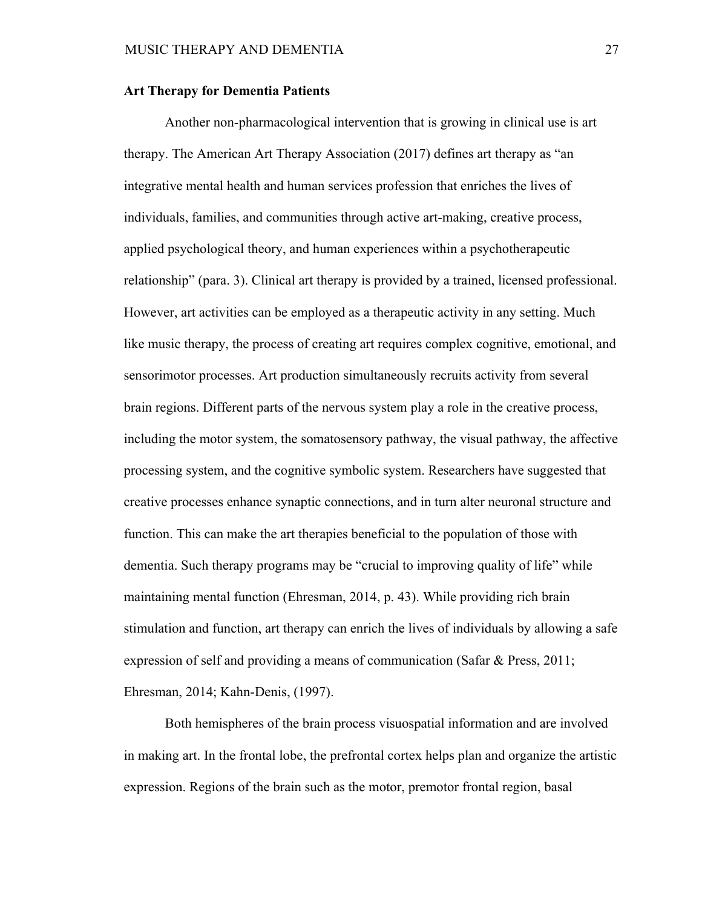# **Art Therapy for Dementia Patients**

Another non-pharmacological intervention that is growing in clinical use is art therapy. The American Art Therapy Association (2017) defines art therapy as "an integrative mental health and human services profession that enriches the lives of individuals, families, and communities through active art-making, creative process, applied psychological theory, and human experiences within a psychotherapeutic relationship" (para. 3). Clinical art therapy is provided by a trained, licensed professional. However, art activities can be employed as a therapeutic activity in any setting. Much like music therapy, the process of creating art requires complex cognitive, emotional, and sensorimotor processes. Art production simultaneously recruits activity from several brain regions. Different parts of the nervous system play a role in the creative process, including the motor system, the somatosensory pathway, the visual pathway, the affective processing system, and the cognitive symbolic system. Researchers have suggested that creative processes enhance synaptic connections, and in turn alter neuronal structure and function. This can make the art therapies beneficial to the population of those with dementia. Such therapy programs may be "crucial to improving quality of life" while maintaining mental function (Ehresman, 2014, p. 43). While providing rich brain stimulation and function, art therapy can enrich the lives of individuals by allowing a safe expression of self and providing a means of communication (Safar & Press, 2011; Ehresman, 2014; Kahn-Denis, (1997).

Both hemispheres of the brain process visuospatial information and are involved in making art. In the frontal lobe, the prefrontal cortex helps plan and organize the artistic expression. Regions of the brain such as the motor, premotor frontal region, basal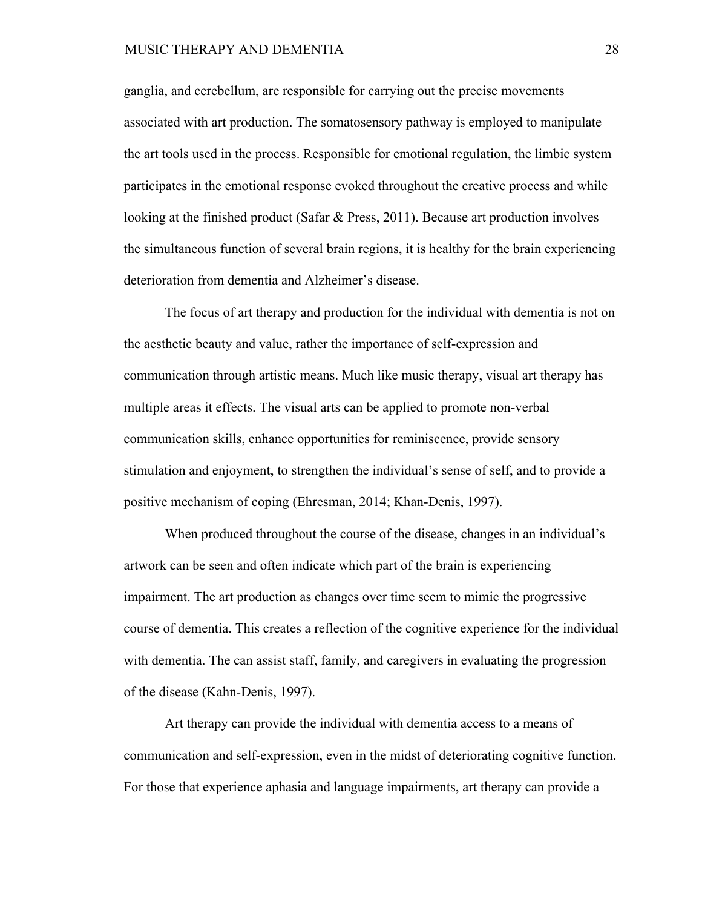#### MUSIC THERAPY AND DEMENTIA 28

ganglia, and cerebellum, are responsible for carrying out the precise movements associated with art production. The somatosensory pathway is employed to manipulate the art tools used in the process. Responsible for emotional regulation, the limbic system participates in the emotional response evoked throughout the creative process and while looking at the finished product (Safar & Press, 2011). Because art production involves the simultaneous function of several brain regions, it is healthy for the brain experiencing deterioration from dementia and Alzheimer's disease.

The focus of art therapy and production for the individual with dementia is not on the aesthetic beauty and value, rather the importance of self-expression and communication through artistic means. Much like music therapy, visual art therapy has multiple areas it effects. The visual arts can be applied to promote non-verbal communication skills, enhance opportunities for reminiscence, provide sensory stimulation and enjoyment, to strengthen the individual's sense of self, and to provide a positive mechanism of coping (Ehresman, 2014; Khan-Denis, 1997).

When produced throughout the course of the disease, changes in an individual's artwork can be seen and often indicate which part of the brain is experiencing impairment. The art production as changes over time seem to mimic the progressive course of dementia. This creates a reflection of the cognitive experience for the individual with dementia. The can assist staff, family, and caregivers in evaluating the progression of the disease (Kahn-Denis, 1997).

Art therapy can provide the individual with dementia access to a means of communication and self-expression, even in the midst of deteriorating cognitive function. For those that experience aphasia and language impairments, art therapy can provide a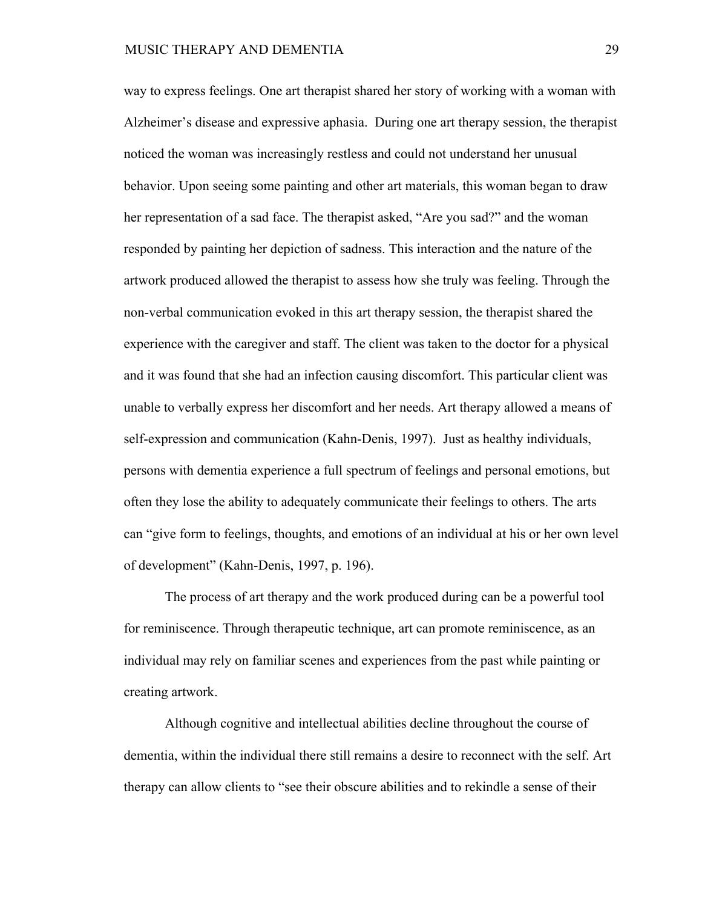way to express feelings. One art therapist shared her story of working with a woman with Alzheimer's disease and expressive aphasia. During one art therapy session, the therapist noticed the woman was increasingly restless and could not understand her unusual behavior. Upon seeing some painting and other art materials, this woman began to draw her representation of a sad face. The therapist asked, "Are you sad?" and the woman responded by painting her depiction of sadness. This interaction and the nature of the artwork produced allowed the therapist to assess how she truly was feeling. Through the non-verbal communication evoked in this art therapy session, the therapist shared the experience with the caregiver and staff. The client was taken to the doctor for a physical and it was found that she had an infection causing discomfort. This particular client was unable to verbally express her discomfort and her needs. Art therapy allowed a means of self-expression and communication (Kahn-Denis, 1997). Just as healthy individuals, persons with dementia experience a full spectrum of feelings and personal emotions, but often they lose the ability to adequately communicate their feelings to others. The arts can "give form to feelings, thoughts, and emotions of an individual at his or her own level of development" (Kahn-Denis, 1997, p. 196).

The process of art therapy and the work produced during can be a powerful tool for reminiscence. Through therapeutic technique, art can promote reminiscence, as an individual may rely on familiar scenes and experiences from the past while painting or creating artwork.

Although cognitive and intellectual abilities decline throughout the course of dementia, within the individual there still remains a desire to reconnect with the self. Art therapy can allow clients to "see their obscure abilities and to rekindle a sense of their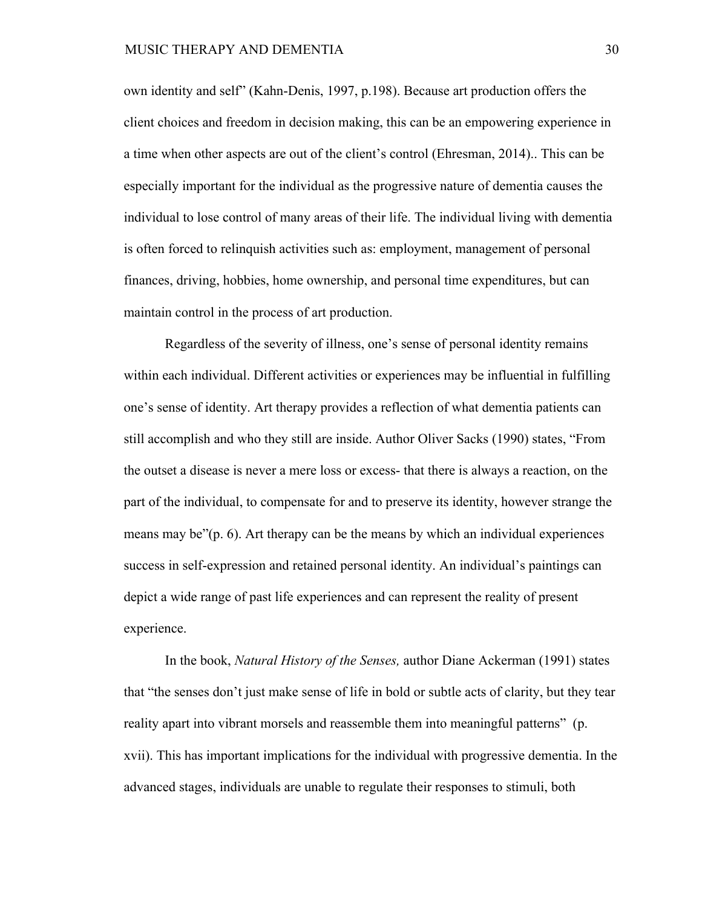own identity and self" (Kahn-Denis, 1997, p.198). Because art production offers the client choices and freedom in decision making, this can be an empowering experience in a time when other aspects are out of the client's control (Ehresman, 2014).. This can be especially important for the individual as the progressive nature of dementia causes the individual to lose control of many areas of their life. The individual living with dementia is often forced to relinquish activities such as: employment, management of personal finances, driving, hobbies, home ownership, and personal time expenditures, but can maintain control in the process of art production.

Regardless of the severity of illness, one's sense of personal identity remains within each individual. Different activities or experiences may be influential in fulfilling one's sense of identity. Art therapy provides a reflection of what dementia patients can still accomplish and who they still are inside. Author Oliver Sacks (1990) states, "From the outset a disease is never a mere loss or excess- that there is always a reaction, on the part of the individual, to compensate for and to preserve its identity, however strange the means may be"(p. 6). Art therapy can be the means by which an individual experiences success in self-expression and retained personal identity. An individual's paintings can depict a wide range of past life experiences and can represent the reality of present experience.

In the book, *Natural History of the Senses,* author Diane Ackerman (1991) states that "the senses don't just make sense of life in bold or subtle acts of clarity, but they tear reality apart into vibrant morsels and reassemble them into meaningful patterns" (p. xvii). This has important implications for the individual with progressive dementia. In the advanced stages, individuals are unable to regulate their responses to stimuli, both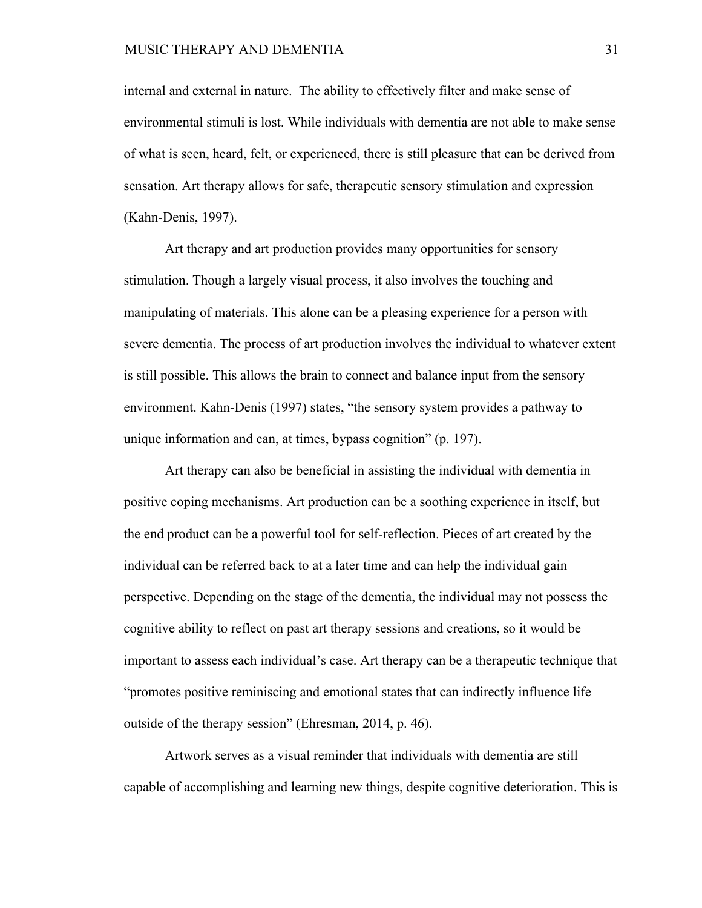internal and external in nature. The ability to effectively filter and make sense of environmental stimuli is lost. While individuals with dementia are not able to make sense of what is seen, heard, felt, or experienced, there is still pleasure that can be derived from sensation. Art therapy allows for safe, therapeutic sensory stimulation and expression (Kahn-Denis, 1997).

Art therapy and art production provides many opportunities for sensory stimulation. Though a largely visual process, it also involves the touching and manipulating of materials. This alone can be a pleasing experience for a person with severe dementia. The process of art production involves the individual to whatever extent is still possible. This allows the brain to connect and balance input from the sensory environment. Kahn-Denis (1997) states, "the sensory system provides a pathway to unique information and can, at times, bypass cognition" (p. 197).

Art therapy can also be beneficial in assisting the individual with dementia in positive coping mechanisms. Art production can be a soothing experience in itself, but the end product can be a powerful tool for self-reflection. Pieces of art created by the individual can be referred back to at a later time and can help the individual gain perspective. Depending on the stage of the dementia, the individual may not possess the cognitive ability to reflect on past art therapy sessions and creations, so it would be important to assess each individual's case. Art therapy can be a therapeutic technique that "promotes positive reminiscing and emotional states that can indirectly influence life outside of the therapy session" (Ehresman, 2014, p. 46).

Artwork serves as a visual reminder that individuals with dementia are still capable of accomplishing and learning new things, despite cognitive deterioration. This is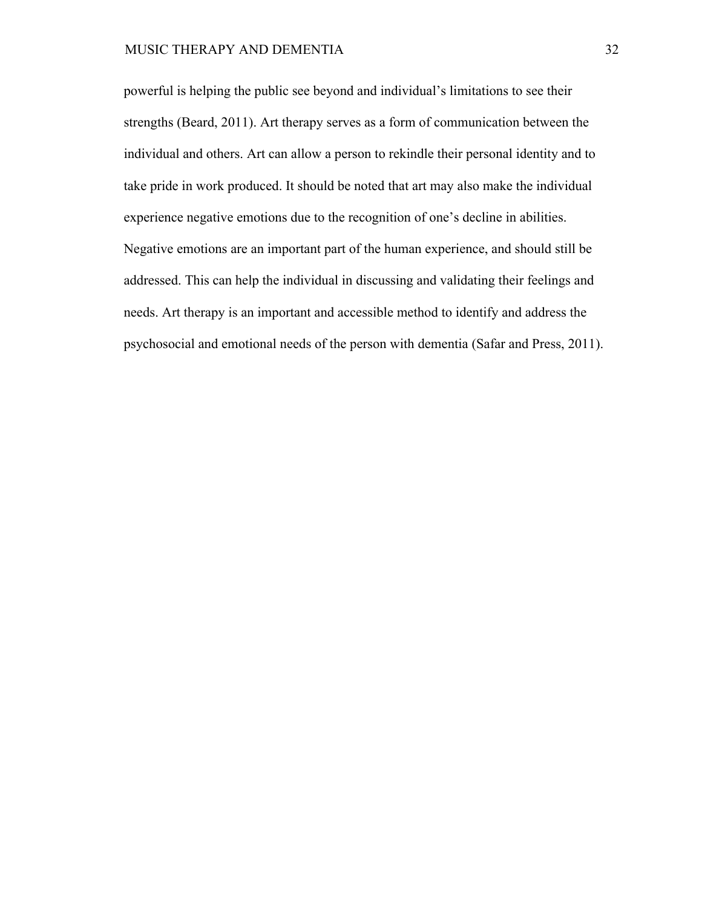powerful is helping the public see beyond and individual's limitations to see their strengths (Beard, 2011). Art therapy serves as a form of communication between the individual and others. Art can allow a person to rekindle their personal identity and to take pride in work produced. It should be noted that art may also make the individual experience negative emotions due to the recognition of one's decline in abilities. Negative emotions are an important part of the human experience, and should still be addressed. This can help the individual in discussing and validating their feelings and needs. Art therapy is an important and accessible method to identify and address the psychosocial and emotional needs of the person with dementia (Safar and Press, 2011).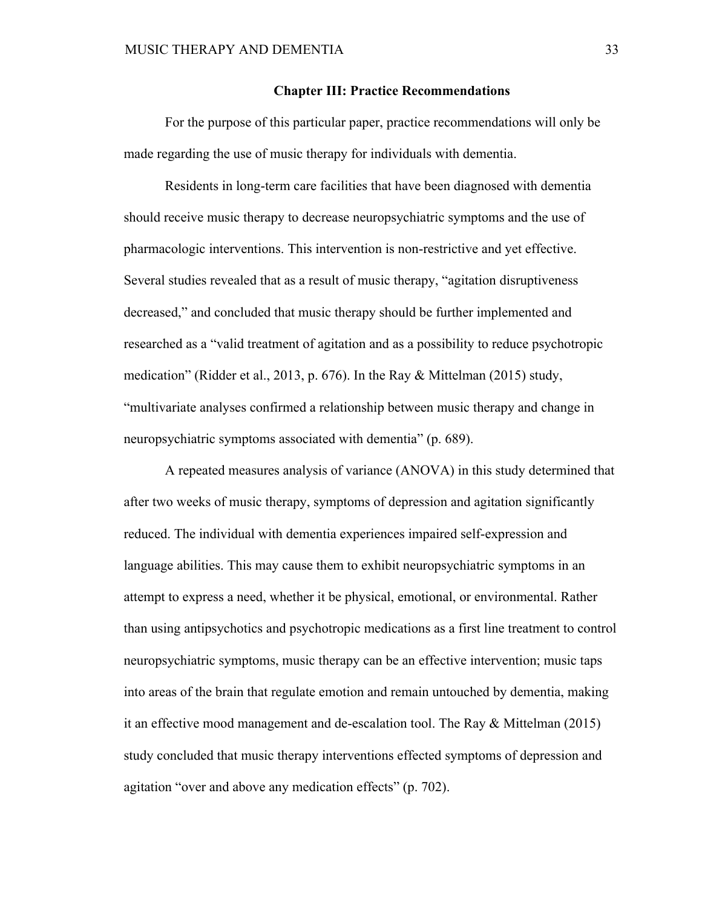#### **Chapter III: Practice Recommendations**

For the purpose of this particular paper, practice recommendations will only be made regarding the use of music therapy for individuals with dementia.

Residents in long-term care facilities that have been diagnosed with dementia should receive music therapy to decrease neuropsychiatric symptoms and the use of pharmacologic interventions. This intervention is non-restrictive and yet effective. Several studies revealed that as a result of music therapy, "agitation disruptiveness decreased," and concluded that music therapy should be further implemented and researched as a "valid treatment of agitation and as a possibility to reduce psychotropic medication" (Ridder et al., 2013, p. 676). In the Ray & Mittelman (2015) study, "multivariate analyses confirmed a relationship between music therapy and change in neuropsychiatric symptoms associated with dementia" (p. 689).

A repeated measures analysis of variance (ANOVA) in this study determined that after two weeks of music therapy, symptoms of depression and agitation significantly reduced. The individual with dementia experiences impaired self-expression and language abilities. This may cause them to exhibit neuropsychiatric symptoms in an attempt to express a need, whether it be physical, emotional, or environmental. Rather than using antipsychotics and psychotropic medications as a first line treatment to control neuropsychiatric symptoms, music therapy can be an effective intervention; music taps into areas of the brain that regulate emotion and remain untouched by dementia, making it an effective mood management and de-escalation tool. The Ray & Mittelman (2015) study concluded that music therapy interventions effected symptoms of depression and agitation "over and above any medication effects" (p. 702).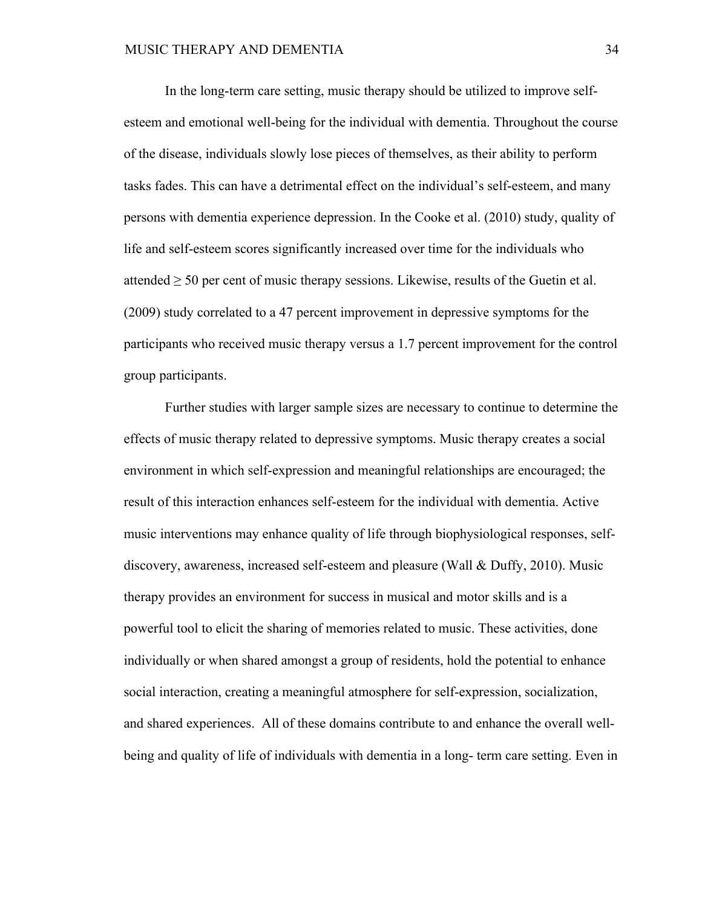In the long-term care setting, music therapy should be utilized to improve selfesteem and emotional well-being for the individual with dementia. Throughout the course of the disease, individuals slowly lose pieces of themselves, as their ability to perform tasks fades. This can have a detrimental effect on the individual's self-esteem, and many persons with dementia experience depression. In the Cooke et al. (2010) study, quality of life and self-esteem scores significantly increased over time for the individuals who attended  $\geq$  50 per cent of music therapy sessions. Likewise, results of the Guetin et al. (2009) study correlated to a 47 percent improvement in depressive symptoms for the participants who received music therapy versus a 1.7 percent improvement for the control group participants.

Further studies with larger sample sizes are necessary to continue to determine the effects of music therapy related to depressive symptoms. Music therapy creates a social environment in which self-expression and meaningful relationships are encouraged; the result of this interaction enhances self-esteem for the individual with dementia. Active music interventions may enhance quality of life through biophysiological responses, selfdiscovery, awareness, increased self-esteem and pleasure (Wall & Duffy, 2010). Music therapy provides an environment for success in musical and motor skills and is a powerful tool to elicit the sharing of memories related to music. These activities, done individually or when shared amongst a group of residents, hold the potential to enhance social interaction, creating a meaningful atmosphere for self-expression, socialization, and shared experiences. All of these domains contribute to and enhance the overall wellbeing and quality of life of individuals with dementia in a long- term care setting. Even in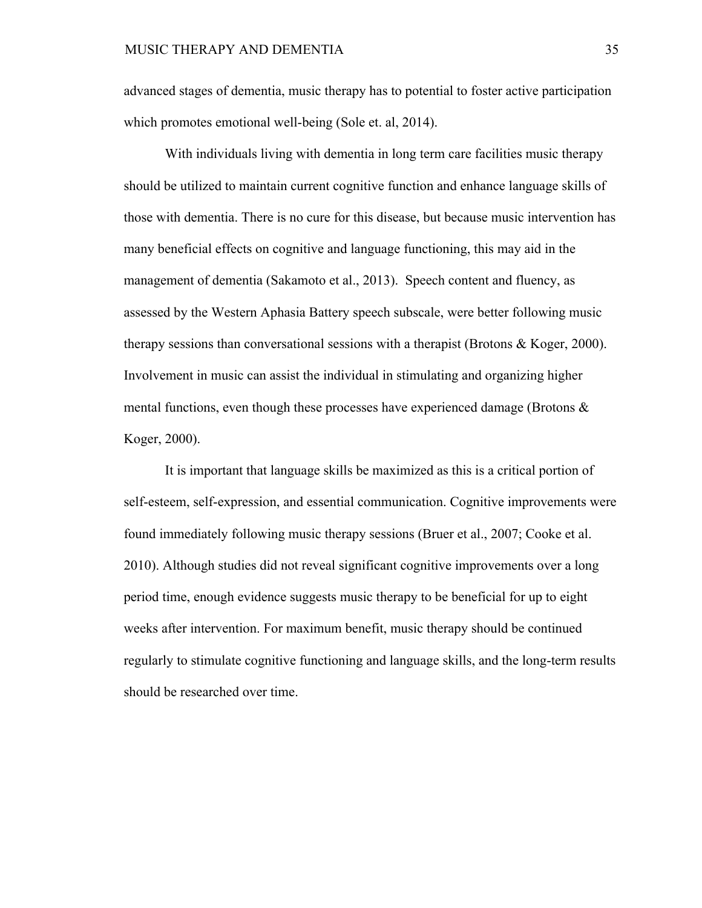advanced stages of dementia, music therapy has to potential to foster active participation which promotes emotional well-being (Sole et. al, 2014).

With individuals living with dementia in long term care facilities music therapy should be utilized to maintain current cognitive function and enhance language skills of those with dementia. There is no cure for this disease, but because music intervention has many beneficial effects on cognitive and language functioning, this may aid in the management of dementia (Sakamoto et al., 2013). Speech content and fluency, as assessed by the Western Aphasia Battery speech subscale, were better following music therapy sessions than conversational sessions with a therapist (Brotons & Koger, 2000). Involvement in music can assist the individual in stimulating and organizing higher mental functions, even though these processes have experienced damage (Brotons  $\&$ Koger, 2000).

It is important that language skills be maximized as this is a critical portion of self-esteem, self-expression, and essential communication. Cognitive improvements were found immediately following music therapy sessions (Bruer et al., 2007; Cooke et al. 2010). Although studies did not reveal significant cognitive improvements over a long period time, enough evidence suggests music therapy to be beneficial for up to eight weeks after intervention. For maximum benefit, music therapy should be continued regularly to stimulate cognitive functioning and language skills, and the long-term results should be researched over time.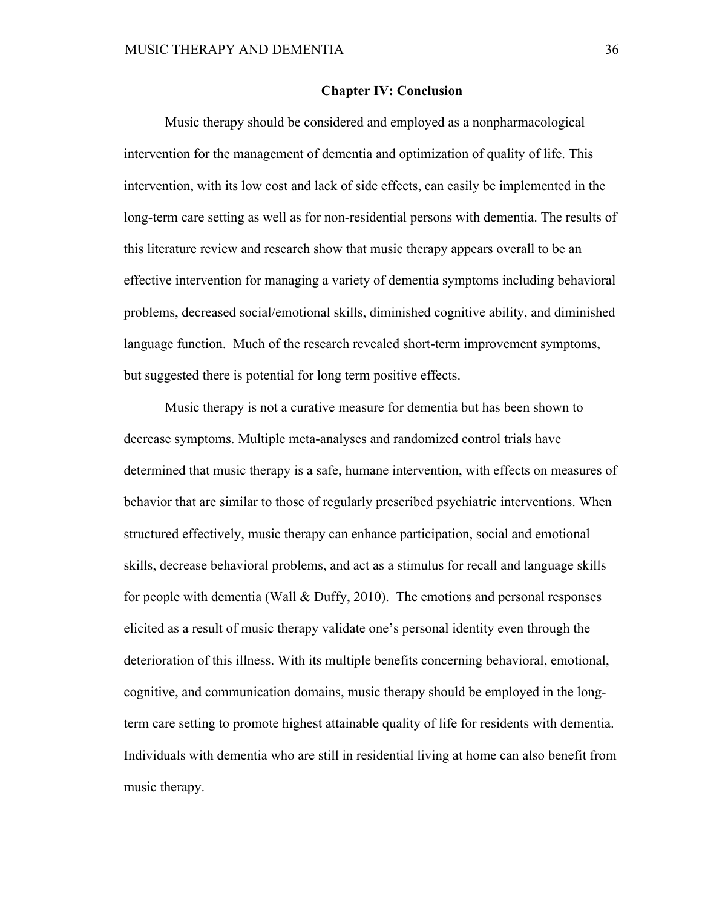#### **Chapter IV: Conclusion**

Music therapy should be considered and employed as a nonpharmacological intervention for the management of dementia and optimization of quality of life. This intervention, with its low cost and lack of side effects, can easily be implemented in the long-term care setting as well as for non-residential persons with dementia. The results of this literature review and research show that music therapy appears overall to be an effective intervention for managing a variety of dementia symptoms including behavioral problems, decreased social/emotional skills, diminished cognitive ability, and diminished language function. Much of the research revealed short-term improvement symptoms, but suggested there is potential for long term positive effects.

Music therapy is not a curative measure for dementia but has been shown to decrease symptoms. Multiple meta-analyses and randomized control trials have determined that music therapy is a safe, humane intervention, with effects on measures of behavior that are similar to those of regularly prescribed psychiatric interventions. When structured effectively, music therapy can enhance participation, social and emotional skills, decrease behavioral problems, and act as a stimulus for recall and language skills for people with dementia (Wall & Duffy, 2010). The emotions and personal responses elicited as a result of music therapy validate one's personal identity even through the deterioration of this illness. With its multiple benefits concerning behavioral, emotional, cognitive, and communication domains, music therapy should be employed in the longterm care setting to promote highest attainable quality of life for residents with dementia. Individuals with dementia who are still in residential living at home can also benefit from music therapy.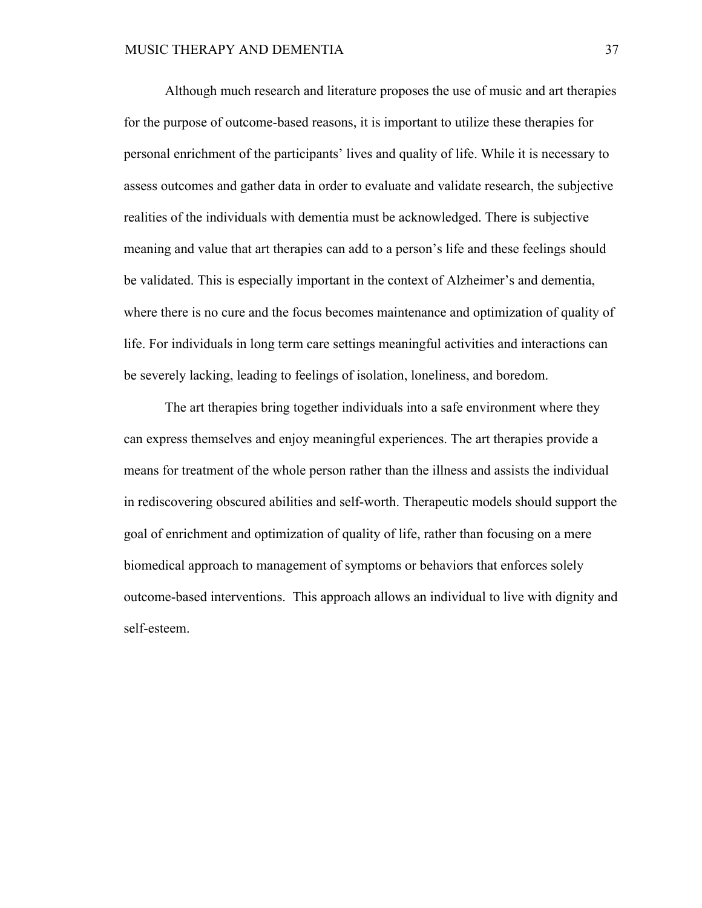Although much research and literature proposes the use of music and art therapies for the purpose of outcome-based reasons, it is important to utilize these therapies for personal enrichment of the participants' lives and quality of life. While it is necessary to assess outcomes and gather data in order to evaluate and validate research, the subjective realities of the individuals with dementia must be acknowledged. There is subjective meaning and value that art therapies can add to a person's life and these feelings should be validated. This is especially important in the context of Alzheimer's and dementia, where there is no cure and the focus becomes maintenance and optimization of quality of life. For individuals in long term care settings meaningful activities and interactions can be severely lacking, leading to feelings of isolation, loneliness, and boredom.

The art therapies bring together individuals into a safe environment where they can express themselves and enjoy meaningful experiences. The art therapies provide a means for treatment of the whole person rather than the illness and assists the individual in rediscovering obscured abilities and self-worth. Therapeutic models should support the goal of enrichment and optimization of quality of life, rather than focusing on a mere biomedical approach to management of symptoms or behaviors that enforces solely outcome-based interventions. This approach allows an individual to live with dignity and self-esteem.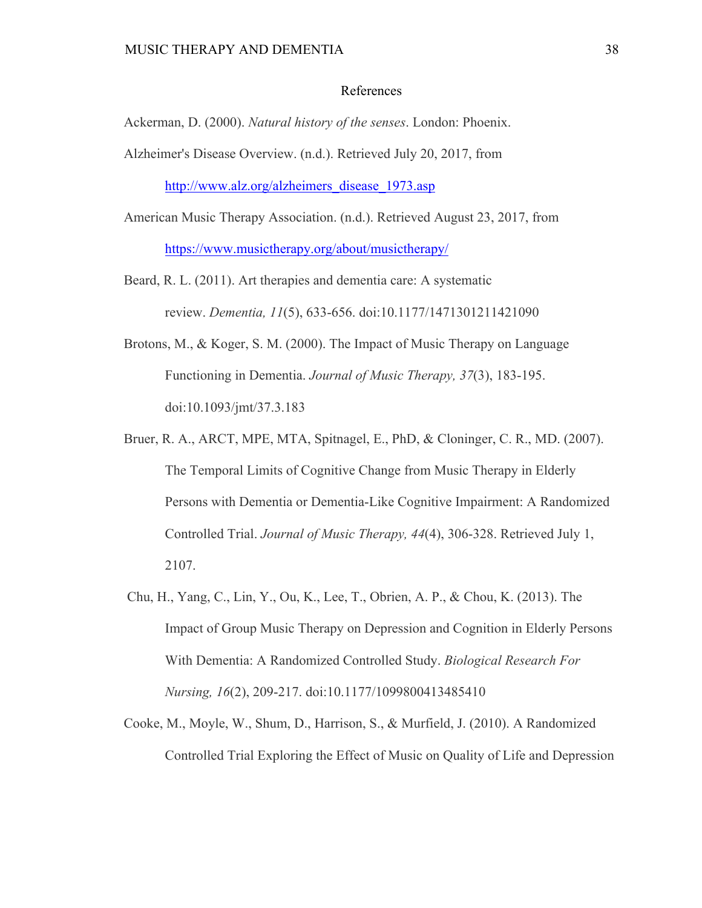# References

Ackerman, D. (2000). *Natural history of the senses*. London: Phoenix.

Alzheimer's Disease Overview. (n.d.). Retrieved July 20, 2017, from

http://www.alz.org/alzheimers\_disease\_1973.asp

- American Music Therapy Association. (n.d.). Retrieved August 23, 2017, from https://www.musictherapy.org/about/musictherapy/
- Beard, R. L. (2011). Art therapies and dementia care: A systematic review. *Dementia, 11*(5), 633-656. doi:10.1177/1471301211421090
- Brotons, M., & Koger, S. M. (2000). The Impact of Music Therapy on Language Functioning in Dementia. *Journal of Music Therapy, 37*(3), 183-195. doi:10.1093/jmt/37.3.183
- Bruer, R. A., ARCT, MPE, MTA, Spitnagel, E., PhD, & Cloninger, C. R., MD. (2007). The Temporal Limits of Cognitive Change from Music Therapy in Elderly Persons with Dementia or Dementia-Like Cognitive Impairment: A Randomized Controlled Trial. *Journal of Music Therapy, 44*(4), 306-328. Retrieved July 1, 2107.
- Chu, H., Yang, C., Lin, Y., Ou, K., Lee, T., Obrien, A. P., & Chou, K. (2013). The Impact of Group Music Therapy on Depression and Cognition in Elderly Persons With Dementia: A Randomized Controlled Study. *Biological Research For Nursing, 16*(2), 209-217. doi:10.1177/1099800413485410
- Cooke, M., Moyle, W., Shum, D., Harrison, S., & Murfield, J. (2010). A Randomized Controlled Trial Exploring the Effect of Music on Quality of Life and Depression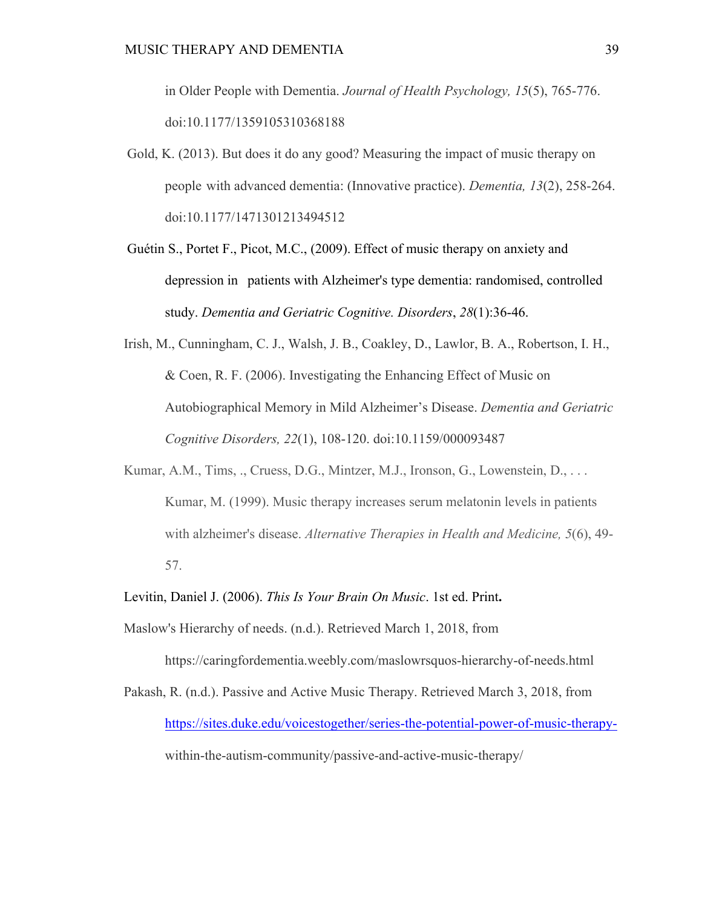in Older People with Dementia. *Journal of Health Psychology, 15*(5), 765-776. doi:10.1177/1359105310368188

- Gold, K. (2013). But does it do any good? Measuring the impact of music therapy on people with advanced dementia: (Innovative practice). *Dementia, 13*(2), 258-264. doi:10.1177/1471301213494512
- Guétin S., Portet F., Picot, M.C., (2009). Effect of music therapy on anxiety and depression in patients with Alzheimer's type dementia: randomised, controlled study. *Dementia and Geriatric Cognitive. Disorders*, *28*(1):36-46.
- Irish, M., Cunningham, C. J., Walsh, J. B., Coakley, D., Lawlor, B. A., Robertson, I. H., & Coen, R. F. (2006). Investigating the Enhancing Effect of Music on Autobiographical Memory in Mild Alzheimer's Disease. *Dementia and Geriatric Cognitive Disorders, 22*(1), 108-120. doi:10.1159/000093487
- Kumar, A.M., Tims, ., Cruess, D.G., Mintzer, M.J., Ironson, G., Lowenstein, D., ... Kumar, M. (1999). Music therapy increases serum melatonin levels in patients with alzheimer's disease. *Alternative Therapies in Health and Medicine, 5*(6), 49- 57.
- Levitin, Daniel J. (2006). *This Is Your Brain On Music*. 1st ed. Print**.**

Maslow's Hierarchy of needs. (n.d.). Retrieved March 1, 2018, from

https://caringfordementia.weebly.com/maslowrsquos-hierarchy-of-needs.html

Pakash, R. (n.d.). Passive and Active Music Therapy. Retrieved March 3, 2018, from https://sites.duke.edu/voicestogether/series-the-potential-power-of-music-therapywithin-the-autism-community/passive-and-active-music-therapy/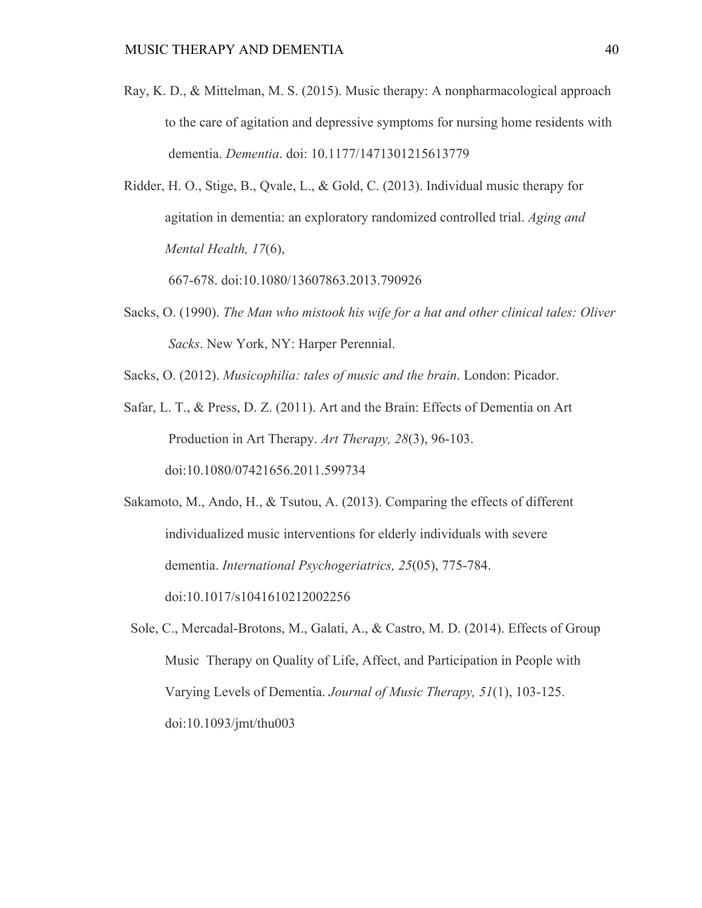- Ray, K. D., & Mittelman, M. S. (2015). Music therapy: A nonpharmacological approach to the care of agitation and depressive symptoms for nursing home residents with dementia. *Dementia*. doi: 10.1177/1471301215613779
- Ridder, H. O., Stige, B., Qvale, L., & Gold, C. (2013). Individual music therapy for agitation in dementia: an exploratory randomized controlled trial. *Aging and Mental Health, 17*(6),

667-678. doi:10.1080/13607863.2013.790926

- Sacks, O. (1990). *The Man who mistook his wife for a hat and other clinical tales: Oliver Sacks*. New York, NY: Harper Perennial.
- Sacks, O. (2012). *Musicophilia: tales of music and the brain*. London: Picador.
- Safar, L. T., & Press, D. Z. (2011). Art and the Brain: Effects of Dementia on Art Production in Art Therapy. *Art Therapy, 28*(3), 96-103. doi:10.1080/07421656.2011.599734

Sakamoto, M., Ando, H., & Tsutou, A. (2013). Comparing the effects of different individualized music interventions for elderly individuals with severe dementia. *International Psychogeriatrics, 25*(05), 775-784. doi:10.1017/s1041610212002256

 Sole, C., Mercadal-Brotons, M., Galati, A., & Castro, M. D. (2014). Effects of Group Music Therapy on Quality of Life, Affect, and Participation in People with Varying Levels of Dementia. *Journal of Music Therapy, 51*(1), 103-125. doi:10.1093/jmt/thu003